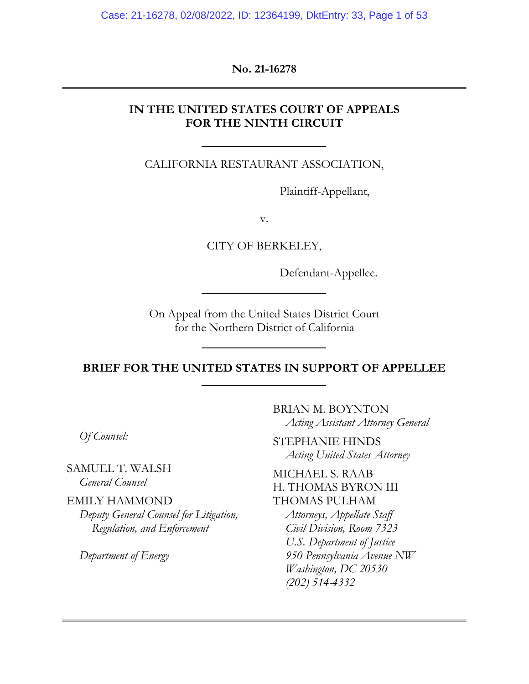Case: 21-16278, 02/08/2022, ID: 12364199, DktEntry: 33, Page 1 of 53

**No. 21-16278**

### **IN THE UNITED STATES COURT OF APPEALS FOR THE NINTH CIRCUIT**

CALIFORNIA RESTAURANT ASSOCIATION,

Plaintiff-Appellant,

v.

CITY OF BERKELEY,

Defendant-Appellee.

On Appeal from the United States District Court for the Northern District of California

**BRIEF FOR THE UNITED STATES IN SUPPORT OF APPELLEE** 

*Of Counsel:* 

SAMUEL T. WALSH *General Counsel* 

EMILY HAMMOND *Deputy General Counsel for Litigation, Regulation, and Enforcement* 

*Department of Energy* 

BRIAN M. BOYNTON *Acting Assistant Attorney General* 

STEPHANIE HINDS *Acting United States Attorney* 

MICHAEL S. RAAB H. THOMAS BYRON III THOMAS PULHAM

*Attorneys, Appellate Staff Civil Division, Room 7323 U.S. Department of Justice 950 Pennsylvania Avenue NW Washington, DC 20530 (202) 514-4332*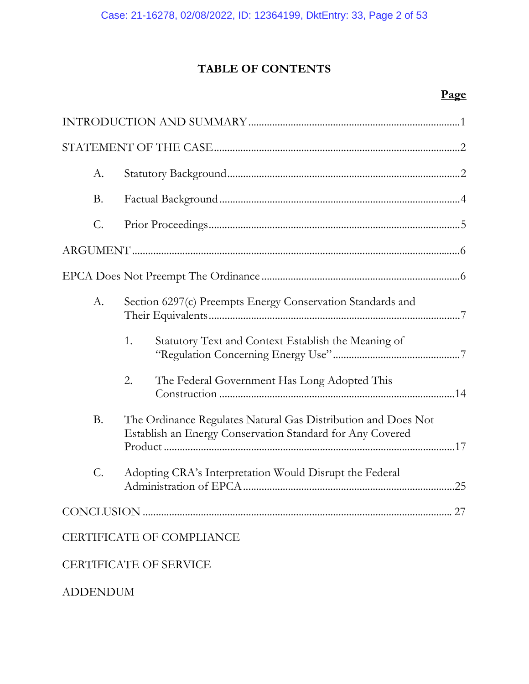# **TABLE OF CONTENTS**

# **Page**

| A.        |                                                                                                                            |
|-----------|----------------------------------------------------------------------------------------------------------------------------|
| <b>B.</b> |                                                                                                                            |
| C.        |                                                                                                                            |
|           |                                                                                                                            |
|           |                                                                                                                            |
| A.        | Section 6297(c) Preempts Energy Conservation Standards and                                                                 |
|           | 1.<br>Statutory Text and Context Establish the Meaning of                                                                  |
|           | 2.<br>The Federal Government Has Long Adopted This                                                                         |
| <b>B.</b> | The Ordinance Regulates Natural Gas Distribution and Does Not<br>Establish an Energy Conservation Standard for Any Covered |
| C.        | Adopting CRA's Interpretation Would Disrupt the Federal                                                                    |
|           | 27                                                                                                                         |
|           | <b>CERTIFICATE OF COMPLIANCE</b>                                                                                           |
|           | <b>CERTIFICATE OF SERVICE</b>                                                                                              |

ADDENDUM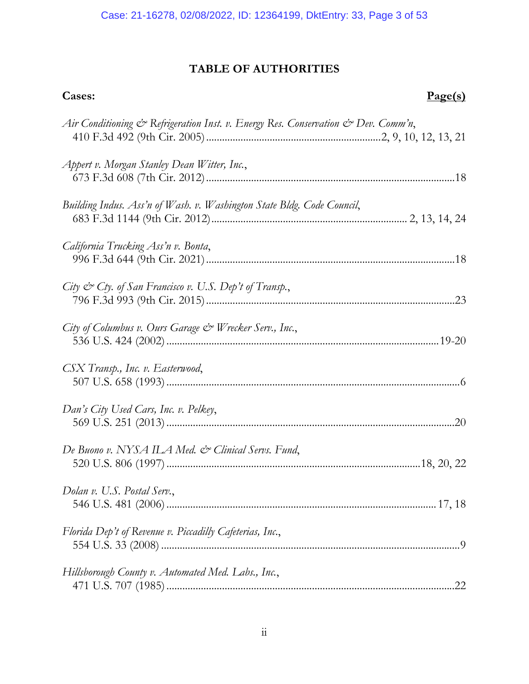# **TABLE OF AUTHORITIES**

| Cases:<br>Page(s)                                                                 |  |
|-----------------------------------------------------------------------------------|--|
| Air Conditioning & Refrigeration Inst. v. Energy Res. Conservation & Dev. Comm'n, |  |
| Appert v. Morgan Stanley Dean Witter, Inc.,                                       |  |
| Building Indus. Ass'n of Wash. v. Washington State Bldg. Code Council,            |  |
| California Trucking Ass'n v. Bonta,                                               |  |
| City & Cty. of San Francisco v. U.S. Dep't of Transp.,                            |  |
| City of Columbus v. Ours Garage & Wrecker Serv., Inc.,                            |  |
| CSX Transp., Inc. v. Easterwood,                                                  |  |
| Dan's City Used Cars, Inc. v. Pelkey,                                             |  |
| De Buono v. NYSA ILA Med. & Clinical Servs. Fund,                                 |  |
| Dolan v. U.S. Postal Serv.,                                                       |  |
| Florida Dep't of Revenue v. Piccadilly Cafeterias, Inc.,                          |  |
| Hillsborough County v. Automated Med. Labs., Inc.,                                |  |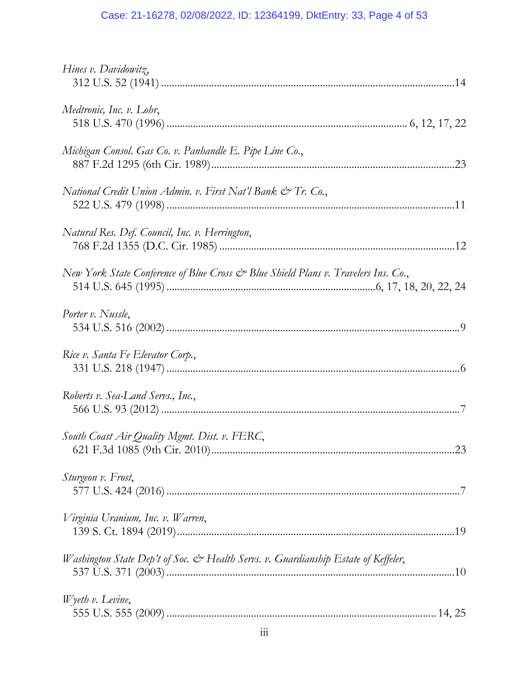# Case: 21-16278, 02/08/2022, ID: 12364199, DktEntry: 33, Page 4 of 53

| Hines v. Davidowitz,                                                               |
|------------------------------------------------------------------------------------|
| Medtronic, Inc. v. Lohr,                                                           |
| Michigan Consol. Gas Co. v. Panhandle E. Pipe Line Co.,                            |
| National Credit Union Admin. v. First Nat'l Bank & Tr. Co.,                        |
| Natural Res. Def. Council, Inc. v. Herrington,                                     |
| New York State Conference of Blue Cross & Blue Shield Plans v. Travelers Ins. Co., |
| Porter v. Nussle,                                                                  |
| Rice v. Santa Fe Elevator Corp.,                                                   |
| Roberts v. Sea-Land Servs., Inc.,                                                  |
| South Coast Air Quality Mgmt. Dist. v. FERC,<br>.23                                |
| Sturgeon v. Frost,                                                                 |
| Virginia Uranium, Inc. v. Warren,                                                  |
| Washington State Dep't of Soc. & Health Servs. v. Guardianship Estate of Keffeler, |
| $W$ yeth v. Levine,                                                                |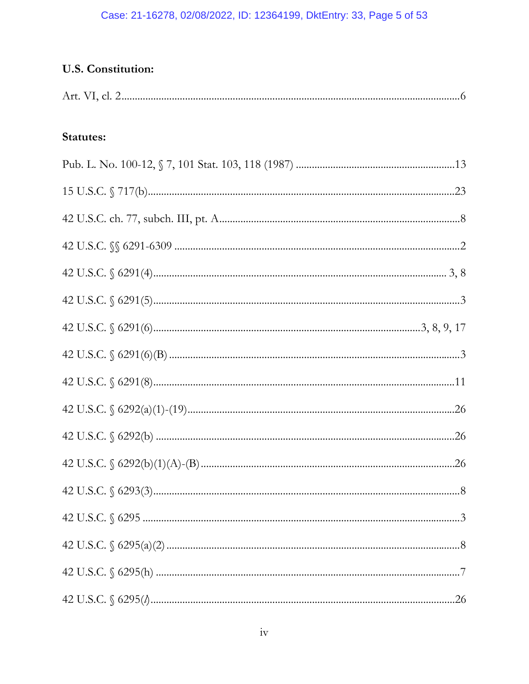### Case: 21-16278, 02/08/2022, ID: 12364199, DktEntry: 33, Page 5 of 53

# U.S. Constitution:

| <b>Statutes:</b> |
|------------------|
|                  |
|                  |
|                  |
|                  |
|                  |
|                  |
|                  |
|                  |
|                  |
|                  |
|                  |
|                  |
|                  |
|                  |
|                  |
|                  |
|                  |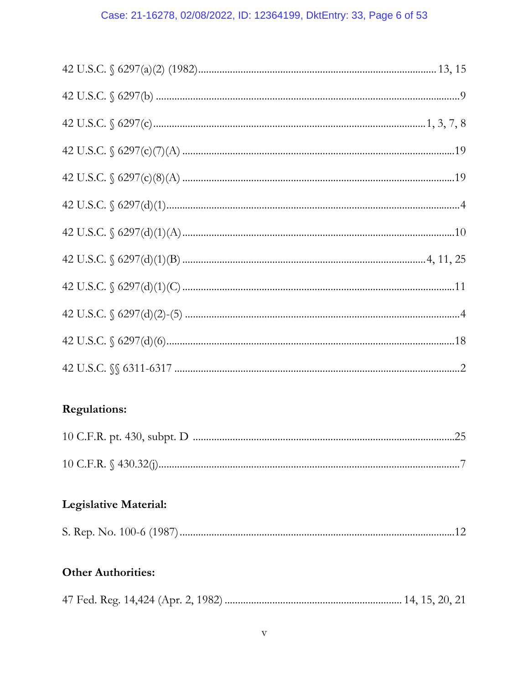# Case: 21-16278, 02/08/2022, ID: 12364199, DktEntry: 33, Page 6 of 53

# **Regulations:**

# Legislative Material:

| S. Rep. No. 100-6 (1987) |  |
|--------------------------|--|
|--------------------------|--|

# **Other Authorities:**

|--|--|--|--|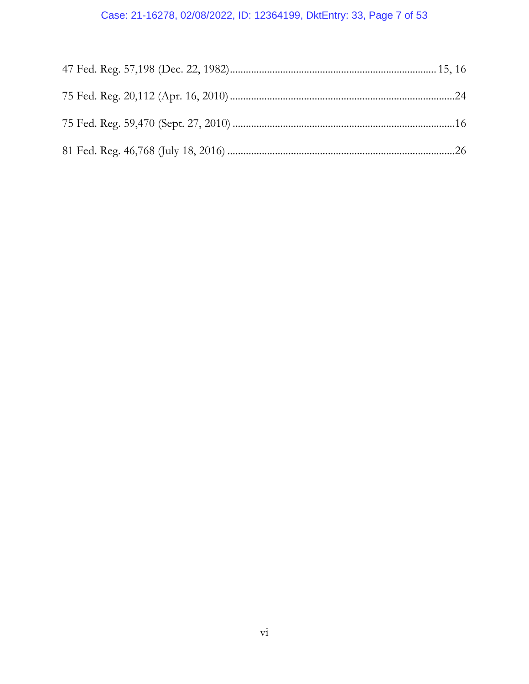# Case: 21-16278, 02/08/2022, ID: 12364199, DktEntry: 33, Page 7 of 53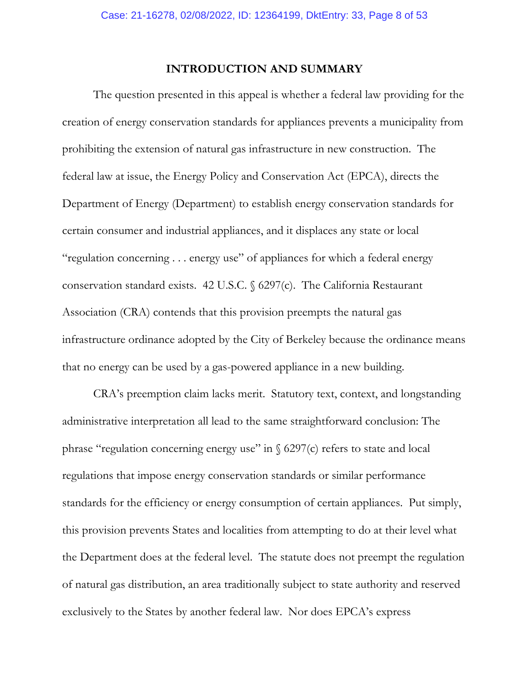### **INTRODUCTION AND SUMMARY**

The question presented in this appeal is whether a federal law providing for the creation of energy conservation standards for appliances prevents a municipality from prohibiting the extension of natural gas infrastructure in new construction. The federal law at issue, the Energy Policy and Conservation Act (EPCA), directs the Department of Energy (Department) to establish energy conservation standards for certain consumer and industrial appliances, and it displaces any state or local "regulation concerning . . . energy use" of appliances for which a federal energy conservation standard exists. 42 U.S.C. § 6297(c). The California Restaurant Association (CRA) contends that this provision preempts the natural gas infrastructure ordinance adopted by the City of Berkeley because the ordinance means that no energy can be used by a gas-powered appliance in a new building.

CRA's preemption claim lacks merit. Statutory text, context, and longstanding administrative interpretation all lead to the same straightforward conclusion: The phrase "regulation concerning energy use" in  $\frac{6297}{c}$  refers to state and local regulations that impose energy conservation standards or similar performance standards for the efficiency or energy consumption of certain appliances. Put simply, this provision prevents States and localities from attempting to do at their level what the Department does at the federal level. The statute does not preempt the regulation of natural gas distribution, an area traditionally subject to state authority and reserved exclusively to the States by another federal law. Nor does EPCA's express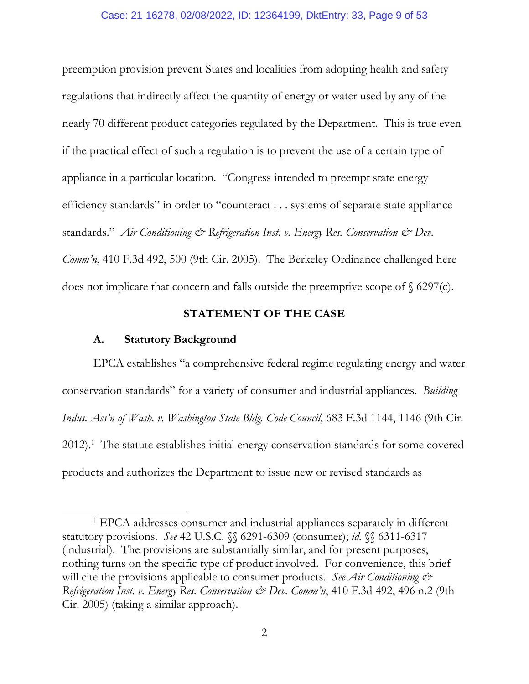### Case: 21-16278, 02/08/2022, ID: 12364199, DktEntry: 33, Page 9 of 53

preemption provision prevent States and localities from adopting health and safety regulations that indirectly affect the quantity of energy or water used by any of the nearly 70 different product categories regulated by the Department. This is true even if the practical effect of such a regulation is to prevent the use of a certain type of appliance in a particular location. "Congress intended to preempt state energy efficiency standards" in order to "counteract . . . systems of separate state appliance standards." *Air Conditioning & Refrigeration Inst. v. Energy Res. Conservation & Dev. Comm'n*, 410 F.3d 492, 500 (9th Cir. 2005). The Berkeley Ordinance challenged here does not implicate that concern and falls outside the preemptive scope of  $\S$  6297(c).

### **STATEMENT OF THE CASE**

### **A. Statutory Background**

 $\overline{a}$ 

EPCA establishes "a comprehensive federal regime regulating energy and water conservation standards" for a variety of consumer and industrial appliances. *Building Indus. Ass'n of Wash. v. Washington State Bldg. Code Council*, 683 F.3d 1144, 1146 (9th Cir.  $2012$ ).<sup>1</sup> The statute establishes initial energy conservation standards for some covered products and authorizes the Department to issue new or revised standards as

<sup>&</sup>lt;sup>1</sup> EPCA addresses consumer and industrial appliances separately in different statutory provisions. *See* 42 U.S.C. §§ 6291-6309 (consumer); *id.* §§ 6311-6317 (industrial). The provisions are substantially similar, and for present purposes, nothing turns on the specific type of product involved. For convenience, this brief will cite the provisions applicable to consumer products. *See Air Conditioning*  $\mathcal{O}^*$ *Refrigeration Inst. v. Energy Res. Conservation & Dev. Comm'n*, 410 F.3d 492, 496 n.2 (9th Cir. 2005) (taking a similar approach).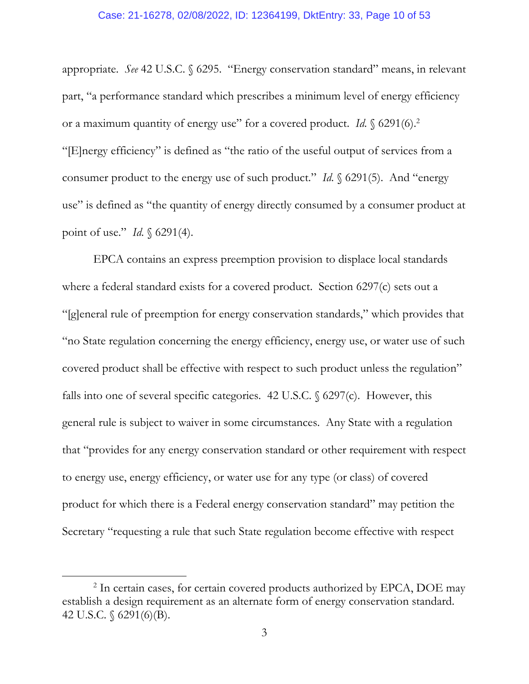### Case: 21-16278, 02/08/2022, ID: 12364199, DktEntry: 33, Page 10 of 53

appropriate. *See* 42 U.S.C. § 6295. "Energy conservation standard" means, in relevant part, "a performance standard which prescribes a minimum level of energy efficiency or a maximum quantity of energy use" for a covered product. *Id*. § 6291(6).2 "[E]nergy efficiency" is defined as "the ratio of the useful output of services from a consumer product to the energy use of such product." *Id*. § 6291(5). And "energy use" is defined as "the quantity of energy directly consumed by a consumer product at point of use." *Id*. § 6291(4).

EPCA contains an express preemption provision to displace local standards where a federal standard exists for a covered product. Section 6297(c) sets out a "[g]eneral rule of preemption for energy conservation standards," which provides that "no State regulation concerning the energy efficiency, energy use, or water use of such covered product shall be effective with respect to such product unless the regulation" falls into one of several specific categories. 42 U.S.C.  $\S$  6297(c). However, this general rule is subject to waiver in some circumstances. Any State with a regulation that "provides for any energy conservation standard or other requirement with respect to energy use, energy efficiency, or water use for any type (or class) of covered product for which there is a Federal energy conservation standard" may petition the Secretary "requesting a rule that such State regulation become effective with respect

 $\overline{a}$ 

<sup>&</sup>lt;sup>2</sup> In certain cases, for certain covered products authorized by EPCA, DOE may establish a design requirement as an alternate form of energy conservation standard. 42 U.S.C. § 6291(6)(B).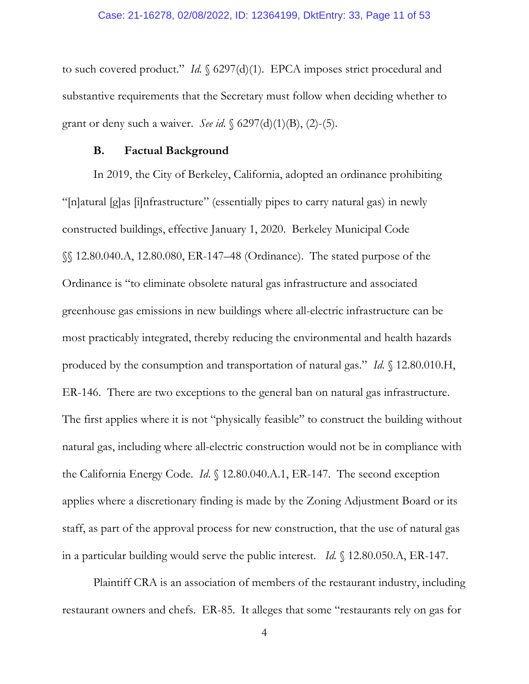to such covered product." *Id.* § 6297(d)(1). EPCA imposes strict procedural and substantive requirements that the Secretary must follow when deciding whether to grant or deny such a waiver. *See id*. § 6297(d)(1)(B), (2)-(5).

### **B. Factual Background**

In 2019, the City of Berkeley, California, adopted an ordinance prohibiting "[n]atural [g]as [i]nfrastructure" (essentially pipes to carry natural gas) in newly constructed buildings, effective January 1, 2020. Berkeley Municipal Code §§ 12.80.040.A, 12.80.080, ER-147–48 (Ordinance). The stated purpose of the Ordinance is "to eliminate obsolete natural gas infrastructure and associated greenhouse gas emissions in new buildings where all-electric infrastructure can be most practicably integrated, thereby reducing the environmental and health hazards produced by the consumption and transportation of natural gas." *Id*. § 12.80.010.H, ER-146. There are two exceptions to the general ban on natural gas infrastructure. The first applies where it is not "physically feasible" to construct the building without natural gas, including where all-electric construction would not be in compliance with the California Energy Code. *Id*. § 12.80.040.A.1, ER-147. The second exception applies where a discretionary finding is made by the Zoning Adjustment Board or its staff, as part of the approval process for new construction, that the use of natural gas in a particular building would serve the public interest. *Id.* § 12.80.050.A, ER-147.

Plaintiff CRA is an association of members of the restaurant industry, including restaurant owners and chefs. ER-85. It alleges that some "restaurants rely on gas for

4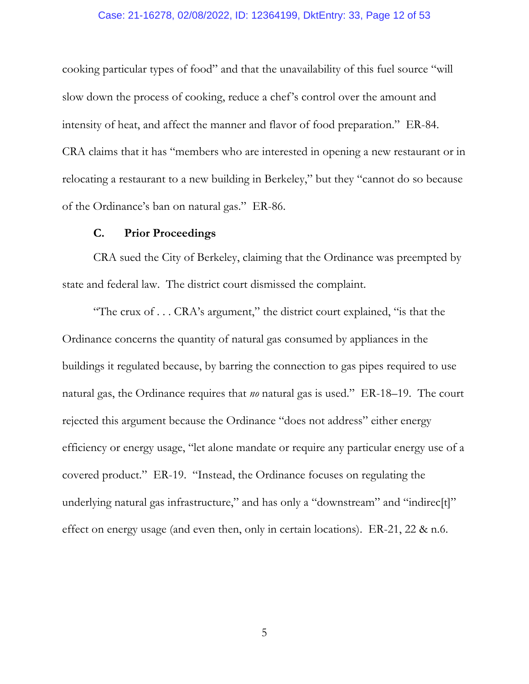### Case: 21-16278, 02/08/2022, ID: 12364199, DktEntry: 33, Page 12 of 53

cooking particular types of food" and that the unavailability of this fuel source "will slow down the process of cooking, reduce a chef's control over the amount and intensity of heat, and affect the manner and flavor of food preparation." ER-84. CRA claims that it has "members who are interested in opening a new restaurant or in relocating a restaurant to a new building in Berkeley," but they "cannot do so because of the Ordinance's ban on natural gas." ER-86.

### **C. Prior Proceedings**

CRA sued the City of Berkeley, claiming that the Ordinance was preempted by state and federal law. The district court dismissed the complaint.

"The crux of . . . CRA's argument," the district court explained, "is that the Ordinance concerns the quantity of natural gas consumed by appliances in the buildings it regulated because, by barring the connection to gas pipes required to use natural gas, the Ordinance requires that *no* natural gas is used." ER-18–19. The court rejected this argument because the Ordinance "does not address" either energy efficiency or energy usage, "let alone mandate or require any particular energy use of a covered product." ER-19. "Instead, the Ordinance focuses on regulating the underlying natural gas infrastructure," and has only a "downstream" and "indirec[t]" effect on energy usage (and even then, only in certain locations). ER-21, 22 & n.6.

5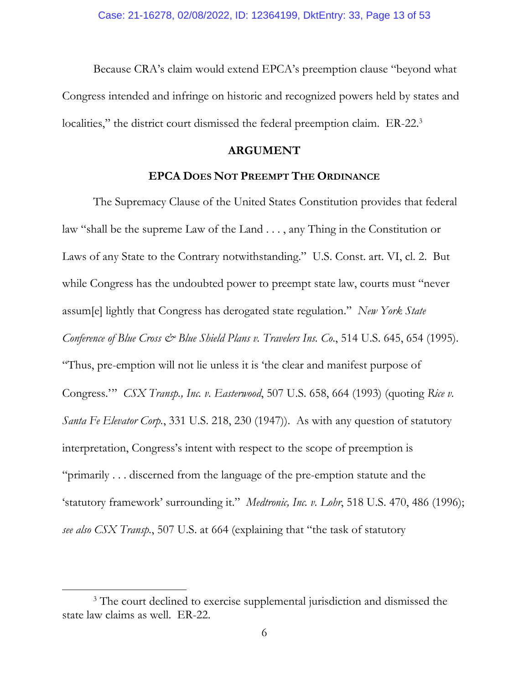Because CRA's claim would extend EPCA's preemption clause "beyond what Congress intended and infringe on historic and recognized powers held by states and localities," the district court dismissed the federal preemption claim. ER-22.<sup>3</sup>

### **ARGUMENT**

### **EPCA DOES NOT PREEMPT THE ORDINANCE**

The Supremacy Clause of the United States Constitution provides that federal law "shall be the supreme Law of the Land . . . , any Thing in the Constitution or Laws of any State to the Contrary notwithstanding." U.S. Const. art. VI, cl. 2. But while Congress has the undoubted power to preempt state law, courts must "never" assum[e] lightly that Congress has derogated state regulation." *New York State Conference of Blue Cross*  $\mathcal{O}$  *Blue Shield Plans v. Travelers Ins. Co.*, 514 U.S. 645, 654 (1995). "Thus, pre-emption will not lie unless it is 'the clear and manifest purpose of Congress.'" *CSX Transp., Inc. v. Easterwood*, 507 U.S. 658, 664 (1993) (quoting *Rice v. Santa Fe Elevator Corp.*, 331 U.S. 218, 230 (1947)). As with any question of statutory interpretation, Congress's intent with respect to the scope of preemption is "primarily . . . discerned from the language of the pre-emption statute and the 'statutory framework' surrounding it." *Medtronic, Inc. v. Lohr*, 518 U.S. 470, 486 (1996); *see also CSX Transp.*, 507 U.S. at 664 (explaining that "the task of statutory

 $\overline{a}$ 

<sup>&</sup>lt;sup>3</sup> The court declined to exercise supplemental jurisdiction and dismissed the state law claims as well. ER-22.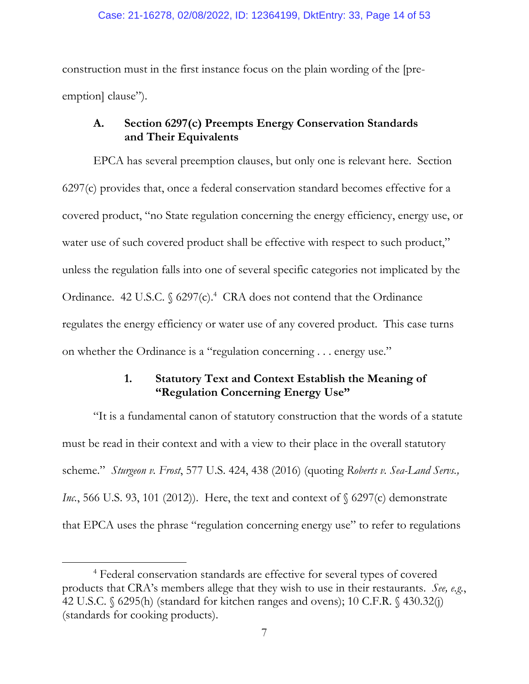construction must in the first instance focus on the plain wording of the [preemption] clause").

### **A. Section 6297(c) Preempts Energy Conservation Standards and Their Equivalents**

EPCA has several preemption clauses, but only one is relevant here. Section 6297(c) provides that, once a federal conservation standard becomes effective for a covered product, "no State regulation concerning the energy efficiency, energy use, or water use of such covered product shall be effective with respect to such product," unless the regulation falls into one of several specific categories not implicated by the Ordinance. 42 U.S.C. § 6297(c).<sup>4</sup> CRA does not contend that the Ordinance regulates the energy efficiency or water use of any covered product. This case turns on whether the Ordinance is a "regulation concerning . . . energy use."

### **1. Statutory Text and Context Establish the Meaning of "Regulation Concerning Energy Use"**

"It is a fundamental canon of statutory construction that the words of a statute must be read in their context and with a view to their place in the overall statutory scheme." *Sturgeon v. Frost*, 577 U.S. 424, 438 (2016) (quoting *Roberts v. Sea-Land Servs., Inc.*, 566 U.S. 93, 101 (2012)). Here, the text and context of § 6297(c) demonstrate that EPCA uses the phrase "regulation concerning energy use" to refer to regulations

 $\overline{a}$ 

<sup>4</sup> Federal conservation standards are effective for several types of covered products that CRA's members allege that they wish to use in their restaurants. *See, e.g.*, 42 U.S.C. § 6295(h) (standard for kitchen ranges and ovens); 10 C.F.R. § 430.32(j) (standards for cooking products).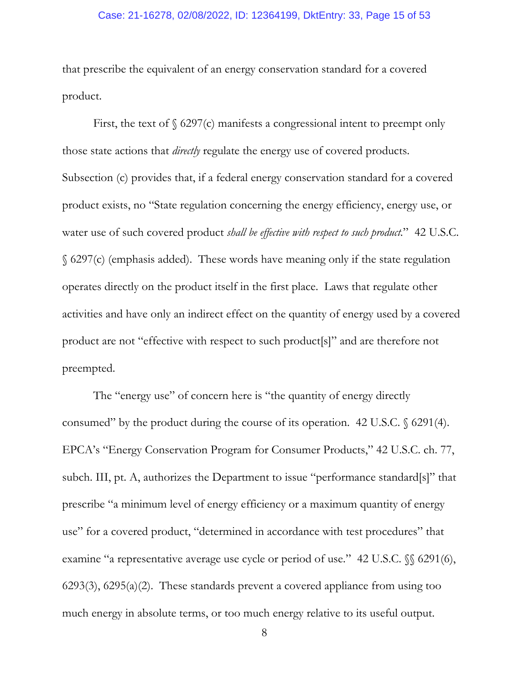### Case: 21-16278, 02/08/2022, ID: 12364199, DktEntry: 33, Page 15 of 53

that prescribe the equivalent of an energy conservation standard for a covered product.

First, the text of  $\S$  6297(c) manifests a congressional intent to preempt only those state actions that *directly* regulate the energy use of covered products. Subsection (c) provides that, if a federal energy conservation standard for a covered product exists, no "State regulation concerning the energy efficiency, energy use, or water use of such covered product *shall be effective with respect to such product*." 42 U.S.C. § 6297(c) (emphasis added). These words have meaning only if the state regulation operates directly on the product itself in the first place. Laws that regulate other activities and have only an indirect effect on the quantity of energy used by a covered product are not "effective with respect to such product[s]" and are therefore not preempted.

The "energy use" of concern here is "the quantity of energy directly consumed" by the product during the course of its operation. 42 U.S.C. § 6291(4). EPCA's "Energy Conservation Program for Consumer Products," 42 U.S.C. ch. 77, subch. III, pt. A, authorizes the Department to issue "performance standard[s]" that prescribe "a minimum level of energy efficiency or a maximum quantity of energy use" for a covered product, "determined in accordance with test procedures" that examine "a representative average use cycle or period of use." 42 U.S.C.  $\%$  6291(6), 6293(3), 6295(a)(2). These standards prevent a covered appliance from using too much energy in absolute terms, or too much energy relative to its useful output.

8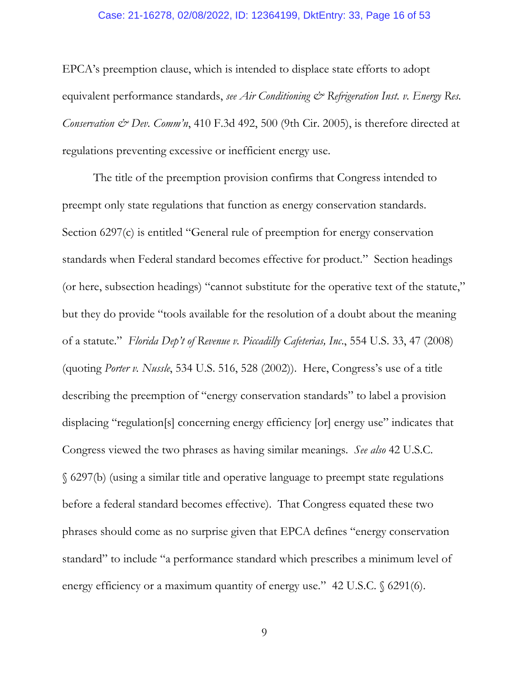### Case: 21-16278, 02/08/2022, ID: 12364199, DktEntry: 33, Page 16 of 53

EPCA's preemption clause, which is intended to displace state efforts to adopt equivalent performance standards, *see Air Conditioning & Refrigeration Inst. v. Energy Res. Conservation & Dev. Comm'n*, 410 F.3d 492, 500 (9th Cir. 2005), is therefore directed at regulations preventing excessive or inefficient energy use.

The title of the preemption provision confirms that Congress intended to preempt only state regulations that function as energy conservation standards. Section 6297(c) is entitled "General rule of preemption for energy conservation standards when Federal standard becomes effective for product." Section headings (or here, subsection headings) "cannot substitute for the operative text of the statute," but they do provide "tools available for the resolution of a doubt about the meaning of a statute." *Florida Dep't of Revenue v. Piccadilly Cafeterias, Inc*., 554 U.S. 33, 47 (2008) (quoting *Porter v. Nussle*, 534 U.S. 516, 528 (2002)). Here, Congress's use of a title describing the preemption of "energy conservation standards" to label a provision displacing "regulation[s] concerning energy efficiency [or] energy use" indicates that Congress viewed the two phrases as having similar meanings. *See also* 42 U.S.C. § 6297(b) (using a similar title and operative language to preempt state regulations before a federal standard becomes effective). That Congress equated these two phrases should come as no surprise given that EPCA defines "energy conservation standard" to include "a performance standard which prescribes a minimum level of energy efficiency or a maximum quantity of energy use." 42 U.S.C. § 6291(6).

9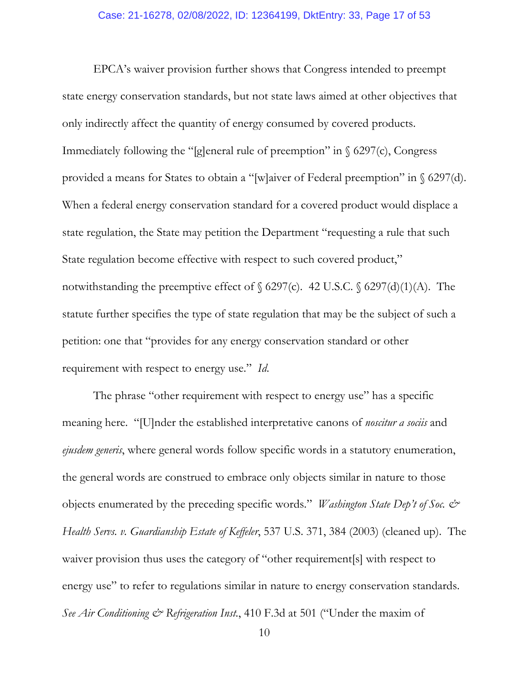#### Case: 21-16278, 02/08/2022, ID: 12364199, DktEntry: 33, Page 17 of 53

EPCA's waiver provision further shows that Congress intended to preempt state energy conservation standards, but not state laws aimed at other objectives that only indirectly affect the quantity of energy consumed by covered products. Immediately following the "[g]eneral rule of preemption" in  $\S$  6297(c), Congress provided a means for States to obtain a "[w]aiver of Federal preemption" in § 6297(d). When a federal energy conservation standard for a covered product would displace a state regulation, the State may petition the Department "requesting a rule that such State regulation become effective with respect to such covered product," notwithstanding the preemptive effect of  $\S$  6297(c). 42 U.S.C.  $\S$  6297(d)(1)(A). The statute further specifies the type of state regulation that may be the subject of such a petition: one that "provides for any energy conservation standard or other requirement with respect to energy use." *Id*.

The phrase "other requirement with respect to energy use" has a specific meaning here. "[U]nder the established interpretative canons of *noscitur a sociis* and *ejusdem generis*, where general words follow specific words in a statutory enumeration, the general words are construed to embrace only objects similar in nature to those objects enumerated by the preceding specific words." *Washington State Dep't of Soc. & Health Servs. v. Guardianship Estate of Keffeler*, 537 U.S. 371, 384 (2003) (cleaned up). The waiver provision thus uses the category of "other requirement[s] with respect to energy use" to refer to regulations similar in nature to energy conservation standards. *See Air Conditioning & Refrigeration Inst.*, 410 F.3d at 501 ("Under the maxim of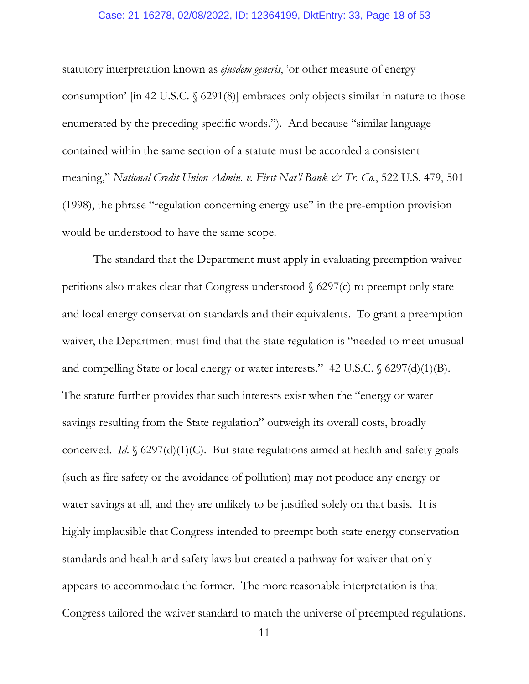#### Case: 21-16278, 02/08/2022, ID: 12364199, DktEntry: 33, Page 18 of 53

statutory interpretation known as *ejusdem generis*, 'or other measure of energy consumption' [in 42 U.S.C. § 6291(8)] embraces only objects similar in nature to those enumerated by the preceding specific words."). And because "similar language contained within the same section of a statute must be accorded a consistent meaning," *National Credit Union Admin. v. First Nat'l Bank & Tr. Co.*, 522 U.S. 479, 501 (1998), the phrase "regulation concerning energy use" in the pre-emption provision would be understood to have the same scope.

The standard that the Department must apply in evaluating preemption waiver petitions also makes clear that Congress understood  $\S$  6297(c) to preempt only state and local energy conservation standards and their equivalents. To grant a preemption waiver, the Department must find that the state regulation is "needed to meet unusual and compelling State or local energy or water interests." 42 U.S.C. § 6297(d)(1)(B). The statute further provides that such interests exist when the "energy or water savings resulting from the State regulation" outweigh its overall costs, broadly conceived. *Id*. § 6297(d)(1)(C). But state regulations aimed at health and safety goals (such as fire safety or the avoidance of pollution) may not produce any energy or water savings at all, and they are unlikely to be justified solely on that basis. It is highly implausible that Congress intended to preempt both state energy conservation standards and health and safety laws but created a pathway for waiver that only appears to accommodate the former. The more reasonable interpretation is that Congress tailored the waiver standard to match the universe of preempted regulations.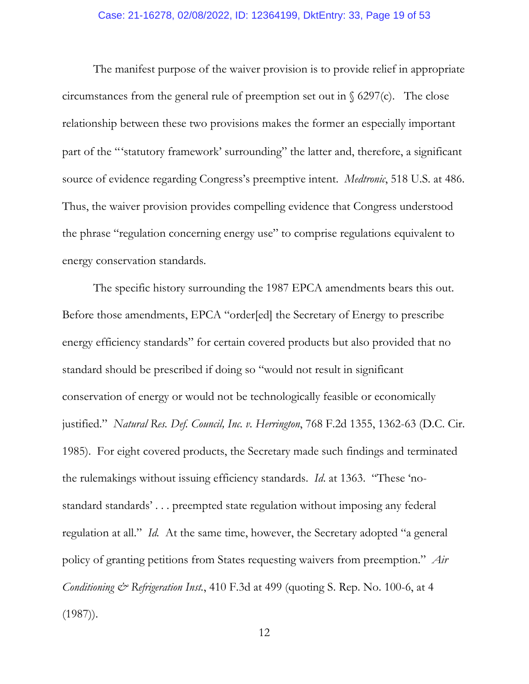### Case: 21-16278, 02/08/2022, ID: 12364199, DktEntry: 33, Page 19 of 53

The manifest purpose of the waiver provision is to provide relief in appropriate circumstances from the general rule of preemption set out in  $\S$  6297(c). The close relationship between these two provisions makes the former an especially important part of the "'statutory framework' surrounding" the latter and, therefore, a significant source of evidence regarding Congress's preemptive intent. *Medtronic*, 518 U.S. at 486. Thus, the waiver provision provides compelling evidence that Congress understood the phrase "regulation concerning energy use" to comprise regulations equivalent to energy conservation standards.

The specific history surrounding the 1987 EPCA amendments bears this out. Before those amendments, EPCA "order[ed] the Secretary of Energy to prescribe energy efficiency standards" for certain covered products but also provided that no standard should be prescribed if doing so "would not result in significant conservation of energy or would not be technologically feasible or economically justified." *Natural Res. Def. Council, Inc. v. Herrington*, 768 F.2d 1355, 1362-63 (D.C. Cir. 1985). For eight covered products, the Secretary made such findings and terminated the rulemakings without issuing efficiency standards. *Id*. at 1363. "These 'nostandard standards' . . . preempted state regulation without imposing any federal regulation at all." *Id.* At the same time, however, the Secretary adopted "a general policy of granting petitions from States requesting waivers from preemption." *Air Conditioning & Refrigeration Inst.*, 410 F.3d at 499 (quoting S. Rep. No. 100-6, at 4  $(1987)$ .

12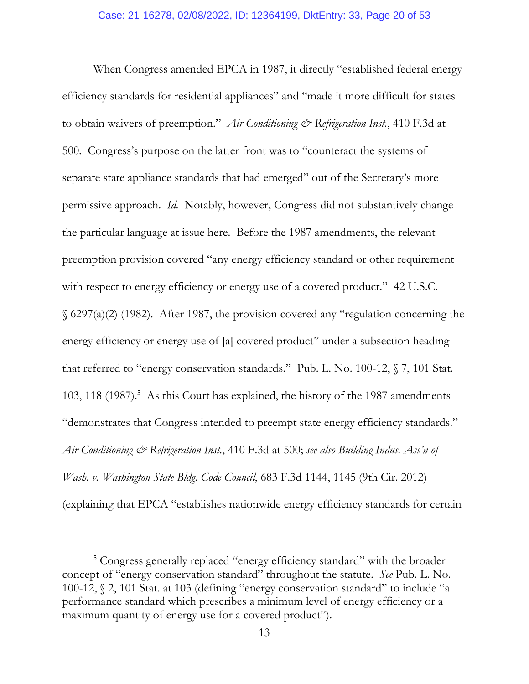When Congress amended EPCA in 1987, it directly "established federal energy efficiency standards for residential appliances" and "made it more difficult for states to obtain waivers of preemption." *Air Conditioning & Refrigeration Inst.*, 410 F.3d at 500*.* Congress's purpose on the latter front was to "counteract the systems of separate state appliance standards that had emerged" out of the Secretary's more permissive approach. *Id*. Notably, however, Congress did not substantively change the particular language at issue here. Before the 1987 amendments, the relevant preemption provision covered "any energy efficiency standard or other requirement with respect to energy efficiency or energy use of a covered product." 42 U.S.C. § 6297(a)(2) (1982). After 1987, the provision covered any "regulation concerning the energy efficiency or energy use of [a] covered product" under a subsection heading that referred to "energy conservation standards." Pub. L. No. 100-12, § 7, 101 Stat. 103, 118 (1987).<sup>5</sup> As this Court has explained, the history of the 1987 amendments "demonstrates that Congress intended to preempt state energy efficiency standards." *Air Conditioning & Refrigeration Inst.*, 410 F.3d at 500; *see also Building Indus. Ass'n of Wash. v. Washington State Bldg. Code Council*, 683 F.3d 1144, 1145 (9th Cir. 2012) (explaining that EPCA "establishes nationwide energy efficiency standards for certain

 $\overline{a}$ 

<sup>&</sup>lt;sup>5</sup> Congress generally replaced "energy efficiency standard" with the broader concept of "energy conservation standard" throughout the statute. *See* Pub. L. No. 100-12, § 2, 101 Stat. at 103 (defining "energy conservation standard" to include "a performance standard which prescribes a minimum level of energy efficiency or a maximum quantity of energy use for a covered product").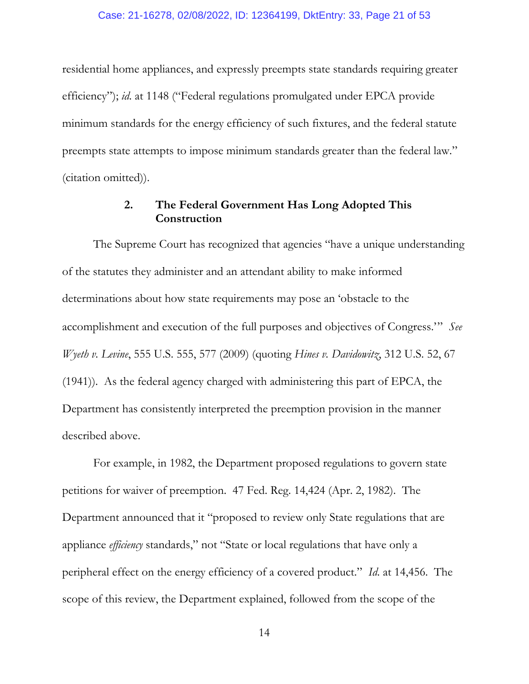residential home appliances, and expressly preempts state standards requiring greater efficiency"); *id*. at 1148 ("Federal regulations promulgated under EPCA provide minimum standards for the energy efficiency of such fixtures, and the federal statute preempts state attempts to impose minimum standards greater than the federal law." (citation omitted)).

### **2. The Federal Government Has Long Adopted This Construction**

The Supreme Court has recognized that agencies "have a unique understanding of the statutes they administer and an attendant ability to make informed determinations about how state requirements may pose an 'obstacle to the accomplishment and execution of the full purposes and objectives of Congress.'" *See Wyeth v. Levine*, 555 U.S. 555, 577 (2009) (quoting *Hines v. Davidowitz*, 312 U.S. 52, 67 (1941)). As the federal agency charged with administering this part of EPCA, the Department has consistently interpreted the preemption provision in the manner described above.

For example, in 1982, the Department proposed regulations to govern state petitions for waiver of preemption. 47 Fed. Reg. 14,424 (Apr. 2, 1982). The Department announced that it "proposed to review only State regulations that are appliance *efficiency* standards," not "State or local regulations that have only a peripheral effect on the energy efficiency of a covered product." *Id*. at 14,456. The scope of this review, the Department explained, followed from the scope of the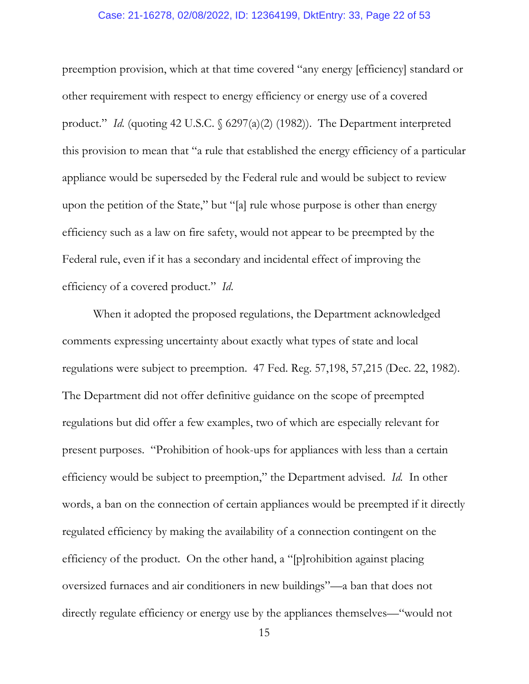### Case: 21-16278, 02/08/2022, ID: 12364199, DktEntry: 33, Page 22 of 53

preemption provision, which at that time covered "any energy [efficiency] standard or other requirement with respect to energy efficiency or energy use of a covered product." *Id.* (quoting 42 U.S.C. § 6297(a)(2) (1982)). The Department interpreted this provision to mean that "a rule that established the energy efficiency of a particular appliance would be superseded by the Federal rule and would be subject to review upon the petition of the State," but "[a] rule whose purpose is other than energy efficiency such as a law on fire safety, would not appear to be preempted by the Federal rule, even if it has a secondary and incidental effect of improving the efficiency of a covered product." *Id*.

When it adopted the proposed regulations, the Department acknowledged comments expressing uncertainty about exactly what types of state and local regulations were subject to preemption. 47 Fed. Reg. 57,198, 57,215 (Dec. 22, 1982). The Department did not offer definitive guidance on the scope of preempted regulations but did offer a few examples, two of which are especially relevant for present purposes. "Prohibition of hook-ups for appliances with less than a certain efficiency would be subject to preemption," the Department advised. *Id.* In other words, a ban on the connection of certain appliances would be preempted if it directly regulated efficiency by making the availability of a connection contingent on the efficiency of the product. On the other hand, a "[p]rohibition against placing oversized furnaces and air conditioners in new buildings"—a ban that does not directly regulate efficiency or energy use by the appliances themselves—"would not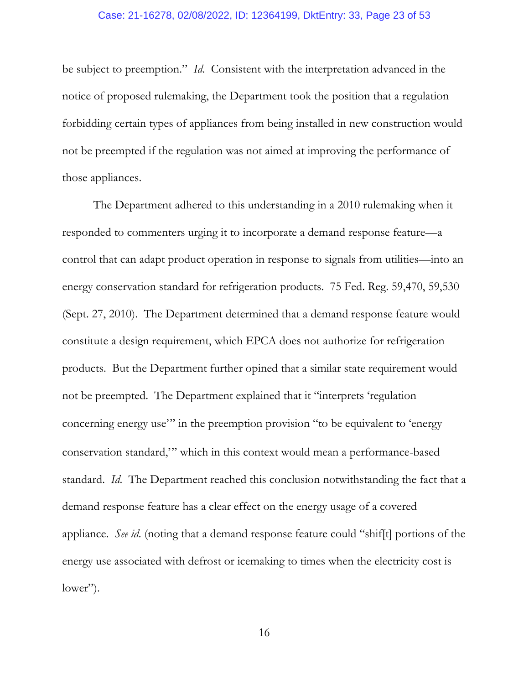#### Case: 21-16278, 02/08/2022, ID: 12364199, DktEntry: 33, Page 23 of 53

be subject to preemption." *Id*. Consistent with the interpretation advanced in the notice of proposed rulemaking, the Department took the position that a regulation forbidding certain types of appliances from being installed in new construction would not be preempted if the regulation was not aimed at improving the performance of those appliances.

The Department adhered to this understanding in a 2010 rulemaking when it responded to commenters urging it to incorporate a demand response feature—a control that can adapt product operation in response to signals from utilities—into an energy conservation standard for refrigeration products. 75 Fed. Reg. 59,470, 59,530 (Sept. 27, 2010). The Department determined that a demand response feature would constitute a design requirement, which EPCA does not authorize for refrigeration products. But the Department further opined that a similar state requirement would not be preempted. The Department explained that it "interprets 'regulation concerning energy use'" in the preemption provision "to be equivalent to 'energy conservation standard,'" which in this context would mean a performance-based standard. *Id*. The Department reached this conclusion notwithstanding the fact that a demand response feature has a clear effect on the energy usage of a covered appliance. *See id*. (noting that a demand response feature could "shif[t] portions of the energy use associated with defrost or icemaking to times when the electricity cost is lower").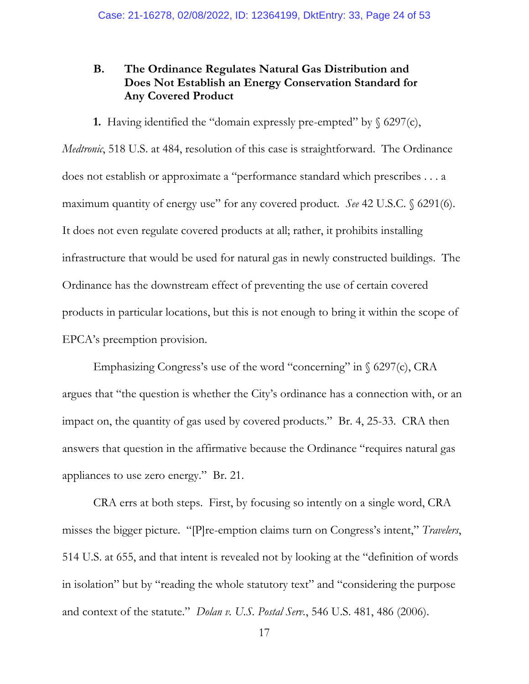### **B. The Ordinance Regulates Natural Gas Distribution and Does Not Establish an Energy Conservation Standard for Any Covered Product**

**1.** Having identified the "domain expressly pre-empted" by  $\S$  6297(c),

*Medtronic*, 518 U.S. at 484, resolution of this case is straightforward. The Ordinance does not establish or approximate a "performance standard which prescribes . . . a maximum quantity of energy use" for any covered product. *See* 42 U.S.C. § 6291(6). It does not even regulate covered products at all; rather, it prohibits installing infrastructure that would be used for natural gas in newly constructed buildings. The Ordinance has the downstream effect of preventing the use of certain covered products in particular locations, but this is not enough to bring it within the scope of EPCA's preemption provision.

Emphasizing Congress's use of the word "concerning" in  $\S$  6297(c), CRA argues that "the question is whether the City's ordinance has a connection with, or an impact on, the quantity of gas used by covered products." Br. 4, 25-33. CRA then answers that question in the affirmative because the Ordinance "requires natural gas appliances to use zero energy." Br. 21.

CRA errs at both steps. First, by focusing so intently on a single word, CRA misses the bigger picture. "[P]re-emption claims turn on Congress's intent," *Travelers*, 514 U.S. at 655, and that intent is revealed not by looking at the "definition of words in isolation" but by "reading the whole statutory text" and "considering the purpose and context of the statute." *Dolan v. U.S. Postal Serv.*, 546 U.S. 481, 486 (2006).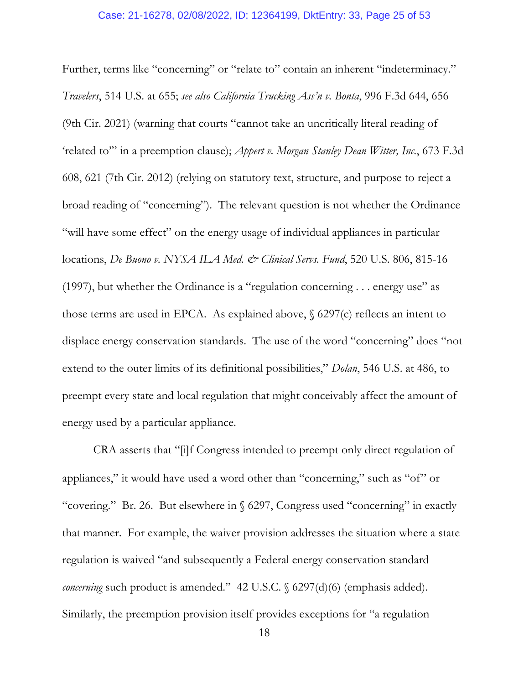### Case: 21-16278, 02/08/2022, ID: 12364199, DktEntry: 33, Page 25 of 53

Further, terms like "concerning" or "relate to" contain an inherent "indeterminacy." *Travelers*, 514 U.S. at 655; *see also California Trucking Ass'n v. Bonta*, 996 F.3d 644, 656 (9th Cir. 2021) (warning that courts "cannot take an uncritically literal reading of 'related to'" in a preemption clause); *Appert v. Morgan Stanley Dean Witter, Inc.*, 673 F.3d 608, 621 (7th Cir. 2012) (relying on statutory text, structure, and purpose to reject a broad reading of "concerning"). The relevant question is not whether the Ordinance "will have some effect" on the energy usage of individual appliances in particular locations, *De Buono v. NYSA ILA Med. & Clinical Servs. Fund*, 520 U.S. 806, 815-16 (1997), but whether the Ordinance is a "regulation concerning . . . energy use" as those terms are used in EPCA. As explained above,  $\S$  6297(c) reflects an intent to displace energy conservation standards. The use of the word "concerning" does "not extend to the outer limits of its definitional possibilities," *Dolan*, 546 U.S. at 486, to preempt every state and local regulation that might conceivably affect the amount of energy used by a particular appliance.

CRA asserts that "[i]f Congress intended to preempt only direct regulation of appliances," it would have used a word other than "concerning," such as "of" or "covering." Br. 26. But elsewhere in § 6297, Congress used "concerning" in exactly that manner. For example, the waiver provision addresses the situation where a state regulation is waived "and subsequently a Federal energy conservation standard *concerning* such product is amended." 42 U.S.C. § 6297(d)(6) (emphasis added). Similarly, the preemption provision itself provides exceptions for "a regulation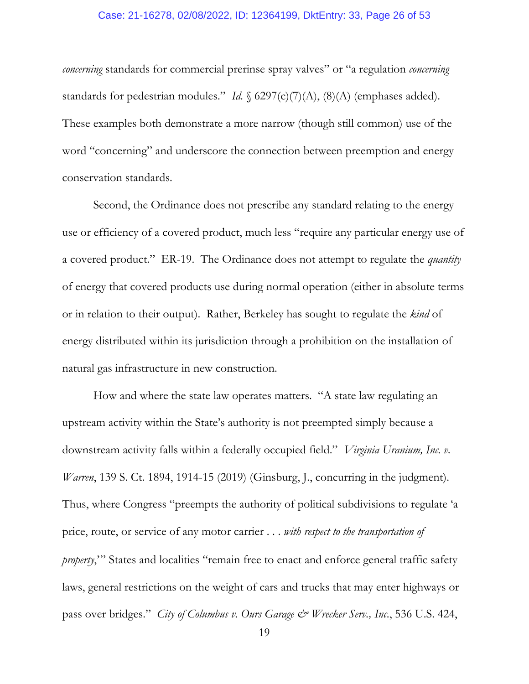#### Case: 21-16278, 02/08/2022, ID: 12364199, DktEntry: 33, Page 26 of 53

*concerning* standards for commercial prerinse spray valves" or "a regulation *concerning* standards for pedestrian modules." *Id.* § 6297(c)(7)(A), (8)(A) (emphases added). These examples both demonstrate a more narrow (though still common) use of the word "concerning" and underscore the connection between preemption and energy conservation standards.

Second, the Ordinance does not prescribe any standard relating to the energy use or efficiency of a covered product, much less "require any particular energy use of a covered product." ER-19. The Ordinance does not attempt to regulate the *quantity* of energy that covered products use during normal operation (either in absolute terms or in relation to their output). Rather, Berkeley has sought to regulate the *kind* of energy distributed within its jurisdiction through a prohibition on the installation of natural gas infrastructure in new construction.

How and where the state law operates matters. "A state law regulating an upstream activity within the State's authority is not preempted simply because a downstream activity falls within a federally occupied field." *Virginia Uranium, Inc. v. Warren*, 139 S. Ct. 1894, 1914-15 (2019) (Ginsburg, J., concurring in the judgment). Thus, where Congress "preempts the authority of political subdivisions to regulate 'a price, route, or service of any motor carrier . . . *with respect to the transportation of property*," States and localities "remain free to enact and enforce general traffic safety laws, general restrictions on the weight of cars and trucks that may enter highways or pass over bridges." *City of Columbus v. Ours Garage & Wrecker Serv., Inc*., 536 U.S. 424,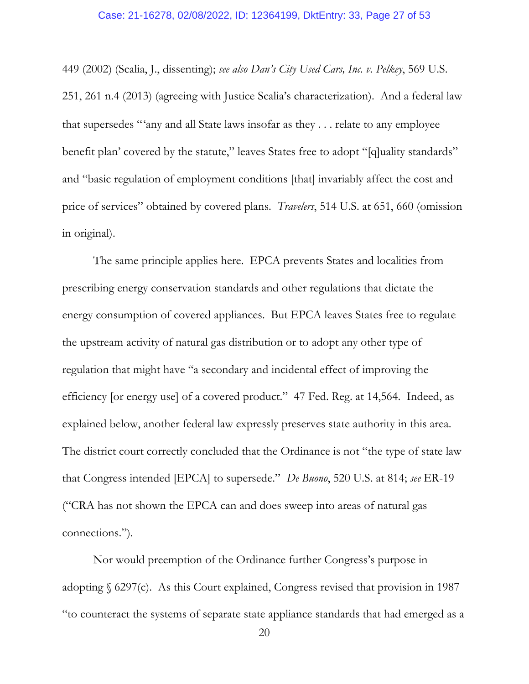### Case: 21-16278, 02/08/2022, ID: 12364199, DktEntry: 33, Page 27 of 53

449 (2002) (Scalia, J., dissenting); *see also Dan's City Used Cars, Inc. v. Pelkey*, 569 U.S. 251, 261 n.4 (2013) (agreeing with Justice Scalia's characterization). And a federal law that supersedes "'any and all State laws insofar as they . . . relate to any employee benefit plan' covered by the statute," leaves States free to adopt "[q]uality standards" and "basic regulation of employment conditions [that] invariably affect the cost and price of services" obtained by covered plans. *Travelers*, 514 U.S. at 651, 660 (omission in original).

The same principle applies here. EPCA prevents States and localities from prescribing energy conservation standards and other regulations that dictate the energy consumption of covered appliances. But EPCA leaves States free to regulate the upstream activity of natural gas distribution or to adopt any other type of regulation that might have "a secondary and incidental effect of improving the efficiency [or energy use] of a covered product." 47 Fed. Reg. at 14,564. Indeed, as explained below, another federal law expressly preserves state authority in this area. The district court correctly concluded that the Ordinance is not "the type of state law that Congress intended [EPCA] to supersede." *De Buono*, 520 U.S. at 814; *see* ER-19 ("CRA has not shown the EPCA can and does sweep into areas of natural gas connections.").

Nor would preemption of the Ordinance further Congress's purpose in adopting § 6297(c). As this Court explained, Congress revised that provision in 1987 "to counteract the systems of separate state appliance standards that had emerged as a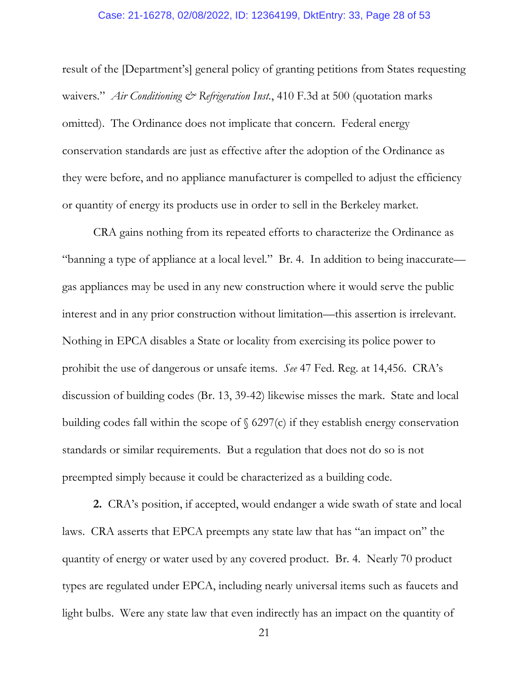### Case: 21-16278, 02/08/2022, ID: 12364199, DktEntry: 33, Page 28 of 53

result of the [Department's] general policy of granting petitions from States requesting waivers." *Air Conditioning & Refrigeration Inst.*, 410 F.3d at 500 (quotation marks omitted). The Ordinance does not implicate that concern. Federal energy conservation standards are just as effective after the adoption of the Ordinance as they were before, and no appliance manufacturer is compelled to adjust the efficiency or quantity of energy its products use in order to sell in the Berkeley market.

CRA gains nothing from its repeated efforts to characterize the Ordinance as "banning a type of appliance at a local level." Br. 4. In addition to being inaccurate gas appliances may be used in any new construction where it would serve the public interest and in any prior construction without limitation—this assertion is irrelevant. Nothing in EPCA disables a State or locality from exercising its police power to prohibit the use of dangerous or unsafe items. *See* 47 Fed. Reg. at 14,456. CRA's discussion of building codes (Br. 13, 39-42) likewise misses the mark. State and local building codes fall within the scope of  $\S$  6297(c) if they establish energy conservation standards or similar requirements. But a regulation that does not do so is not preempted simply because it could be characterized as a building code.

**2.** CRA's position, if accepted, would endanger a wide swath of state and local laws. CRA asserts that EPCA preempts any state law that has "an impact on" the quantity of energy or water used by any covered product. Br. 4. Nearly 70 product types are regulated under EPCA, including nearly universal items such as faucets and light bulbs. Were any state law that even indirectly has an impact on the quantity of

21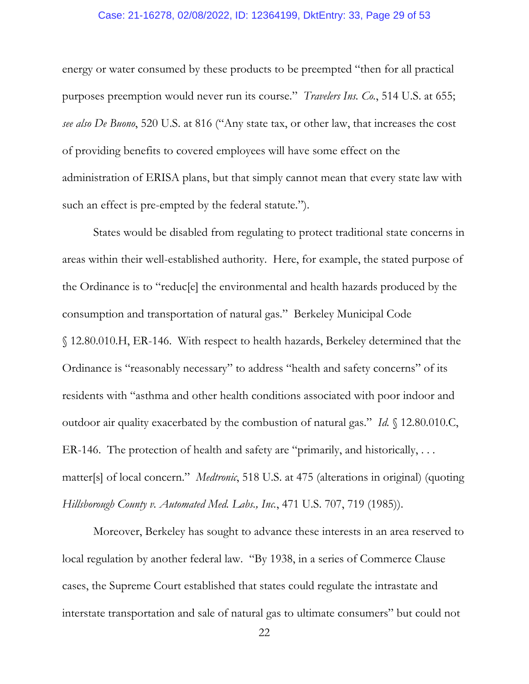### Case: 21-16278, 02/08/2022, ID: 12364199, DktEntry: 33, Page 29 of 53

energy or water consumed by these products to be preempted "then for all practical purposes preemption would never run its course." *Travelers Ins. Co.*, 514 U.S. at 655; *see also De Buono*, 520 U.S. at 816 ("Any state tax, or other law, that increases the cost of providing benefits to covered employees will have some effect on the administration of ERISA plans, but that simply cannot mean that every state law with such an effect is pre-empted by the federal statute.").

States would be disabled from regulating to protect traditional state concerns in areas within their well-established authority. Here, for example, the stated purpose of the Ordinance is to "reduc[e] the environmental and health hazards produced by the consumption and transportation of natural gas." Berkeley Municipal Code § 12.80.010.H, ER-146. With respect to health hazards, Berkeley determined that the Ordinance is "reasonably necessary" to address "health and safety concerns" of its residents with "asthma and other health conditions associated with poor indoor and outdoor air quality exacerbated by the combustion of natural gas." *Id.* § 12.80.010.C, ER-146. The protection of health and safety are "primarily, and historically, . . . matter[s] of local concern." *Medtronic*, 518 U.S. at 475 (alterations in original) (quoting *Hillsborough County v. Automated Med. Labs., Inc.*, 471 U.S. 707, 719 (1985)).

Moreover, Berkeley has sought to advance these interests in an area reserved to local regulation by another federal law. "By 1938, in a series of Commerce Clause cases, the Supreme Court established that states could regulate the intrastate and interstate transportation and sale of natural gas to ultimate consumers" but could not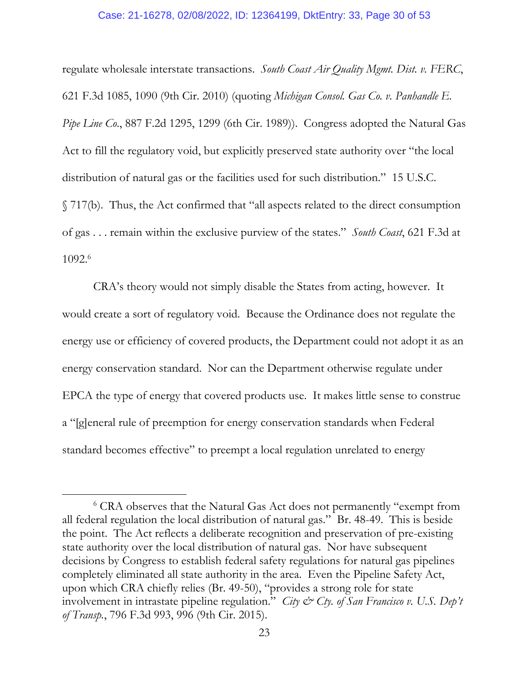### Case: 21-16278, 02/08/2022, ID: 12364199, DktEntry: 33, Page 30 of 53

regulate wholesale interstate transactions. *South Coast Air Quality Mgmt. Dist. v. FERC*, 621 F.3d 1085, 1090 (9th Cir. 2010) (quoting *Michigan Consol. Gas Co. v. Panhandle E. Pipe Line Co*., 887 F.2d 1295, 1299 (6th Cir. 1989)). Congress adopted the Natural Gas Act to fill the regulatory void, but explicitly preserved state authority over "the local distribution of natural gas or the facilities used for such distribution." 15 U.S.C. § 717(b). Thus, the Act confirmed that "all aspects related to the direct consumption of gas . . . remain within the exclusive purview of the states." *South Coast*, 621 F.3d at 1092.6

CRA's theory would not simply disable the States from acting, however. It would create a sort of regulatory void. Because the Ordinance does not regulate the energy use or efficiency of covered products, the Department could not adopt it as an energy conservation standard. Nor can the Department otherwise regulate under EPCA the type of energy that covered products use. It makes little sense to construe a "[g]eneral rule of preemption for energy conservation standards when Federal standard becomes effective" to preempt a local regulation unrelated to energy

 $\overline{a}$ 

<sup>6</sup> CRA observes that the Natural Gas Act does not permanently "exempt from all federal regulation the local distribution of natural gas." Br. 48-49. This is beside the point. The Act reflects a deliberate recognition and preservation of pre-existing state authority over the local distribution of natural gas. Nor have subsequent decisions by Congress to establish federal safety regulations for natural gas pipelines completely eliminated all state authority in the area. Even the Pipeline Safety Act, upon which CRA chiefly relies (Br. 49-50), "provides a strong role for state involvement in intrastate pipeline regulation." *City & Cty. of San Francisco v. U.S. Dep't of Transp.*, 796 F.3d 993, 996 (9th Cir. 2015).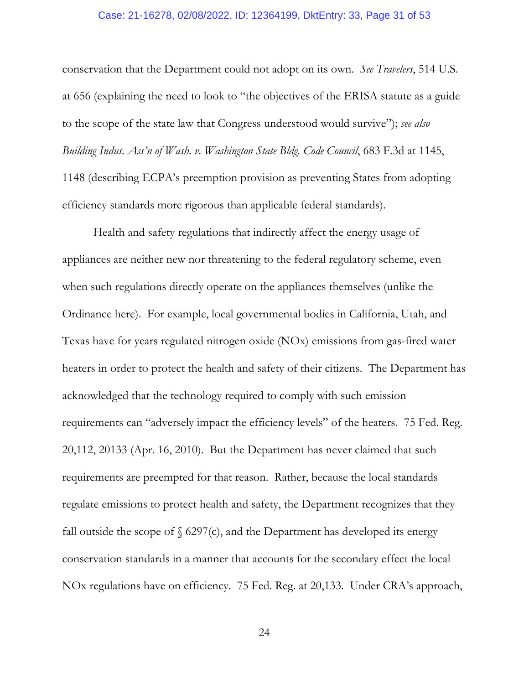### Case: 21-16278, 02/08/2022, ID: 12364199, DktEntry: 33, Page 31 of 53

conservation that the Department could not adopt on its own. *See Travelers*, 514 U.S. at 656 (explaining the need to look to "the objectives of the ERISA statute as a guide to the scope of the state law that Congress understood would survive"); *see also Building Indus. Ass'n of Wash. v. Washington State Bldg. Code Council*, 683 F.3d at 1145, 1148 (describing ECPA's preemption provision as preventing States from adopting efficiency standards more rigorous than applicable federal standards).

Health and safety regulations that indirectly affect the energy usage of appliances are neither new nor threatening to the federal regulatory scheme, even when such regulations directly operate on the appliances themselves (unlike the Ordinance here). For example, local governmental bodies in California, Utah, and Texas have for years regulated nitrogen oxide (NOx) emissions from gas-fired water heaters in order to protect the health and safety of their citizens. The Department has acknowledged that the technology required to comply with such emission requirements can "adversely impact the efficiency levels" of the heaters. 75 Fed. Reg. 20,112, 20133 (Apr. 16, 2010). But the Department has never claimed that such requirements are preempted for that reason. Rather, because the local standards regulate emissions to protect health and safety, the Department recognizes that they fall outside the scope of  $\S$  6297(c), and the Department has developed its energy conservation standards in a manner that accounts for the secondary effect the local NOx regulations have on efficiency. 75 Fed. Reg. at 20,133. Under CRA's approach,

24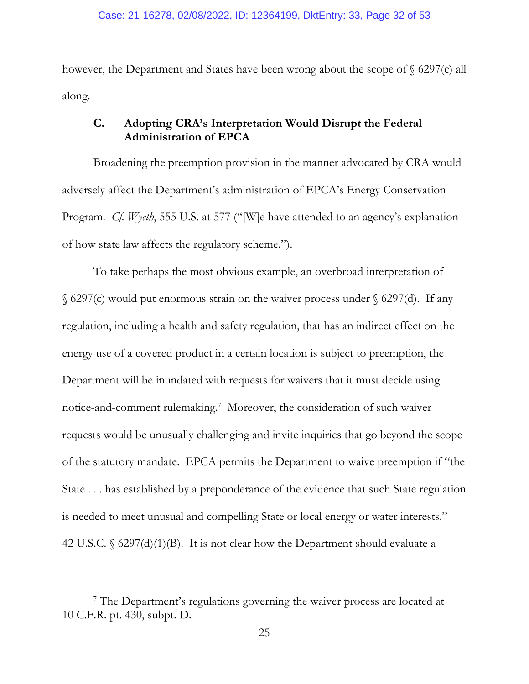however, the Department and States have been wrong about the scope of § 6297(c) all along.

### **C. Adopting CRA's Interpretation Would Disrupt the Federal Administration of EPCA**

Broadening the preemption provision in the manner advocated by CRA would adversely affect the Department's administration of EPCA's Energy Conservation Program. *Cf. Wyeth*, 555 U.S. at 577 ("[W]e have attended to an agency's explanation of how state law affects the regulatory scheme.").

To take perhaps the most obvious example, an overbroad interpretation of  $\S$  6297(c) would put enormous strain on the waiver process under  $\S$  6297(d). If any regulation, including a health and safety regulation, that has an indirect effect on the energy use of a covered product in a certain location is subject to preemption, the Department will be inundated with requests for waivers that it must decide using notice-and-comment rulemaking.7 Moreover, the consideration of such waiver requests would be unusually challenging and invite inquiries that go beyond the scope of the statutory mandate. EPCA permits the Department to waive preemption if "the State . . . has established by a preponderance of the evidence that such State regulation is needed to meet unusual and compelling State or local energy or water interests." 42 U.S.C. § 6297(d)(1)(B). It is not clear how the Department should evaluate a

 $\overline{a}$ 

<sup>&</sup>lt;sup>7</sup> The Department's regulations governing the waiver process are located at 10 C.F.R. pt. 430, subpt. D.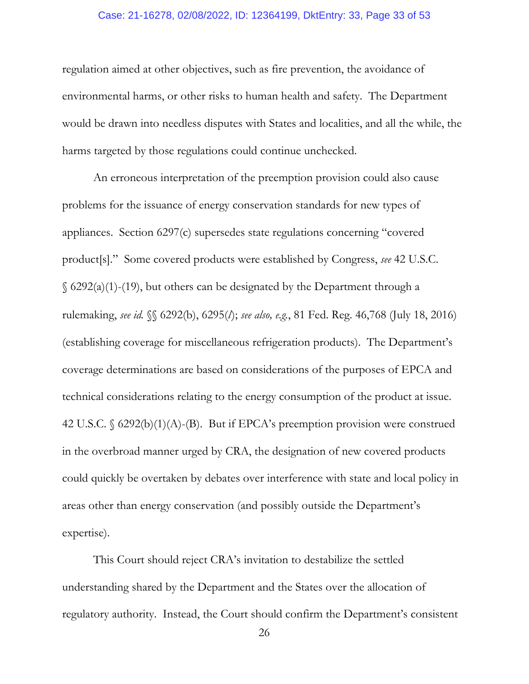### Case: 21-16278, 02/08/2022, ID: 12364199, DktEntry: 33, Page 33 of 53

regulation aimed at other objectives, such as fire prevention, the avoidance of environmental harms, or other risks to human health and safety. The Department would be drawn into needless disputes with States and localities, and all the while, the harms targeted by those regulations could continue unchecked.

An erroneous interpretation of the preemption provision could also cause problems for the issuance of energy conservation standards for new types of appliances. Section 6297(c) supersedes state regulations concerning "covered product[s]." Some covered products were established by Congress, *see* 42 U.S.C.  $\S$  6292(a)(1)-(19), but others can be designated by the Department through a rulemaking, *see id.* §§ 6292(b), 6295(*l*); *see also, e.g.*, 81 Fed. Reg. 46,768 (July 18, 2016) (establishing coverage for miscellaneous refrigeration products). The Department's coverage determinations are based on considerations of the purposes of EPCA and technical considerations relating to the energy consumption of the product at issue. 42 U.S.C. § 6292(b)(1)(A)-(B). But if EPCA's preemption provision were construed in the overbroad manner urged by CRA, the designation of new covered products could quickly be overtaken by debates over interference with state and local policy in areas other than energy conservation (and possibly outside the Department's expertise).

This Court should reject CRA's invitation to destabilize the settled understanding shared by the Department and the States over the allocation of regulatory authority. Instead, the Court should confirm the Department's consistent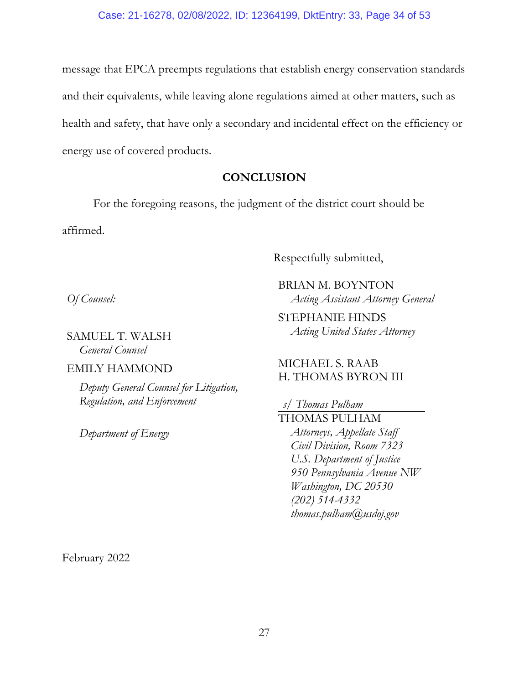message that EPCA preempts regulations that establish energy conservation standards and their equivalents, while leaving alone regulations aimed at other matters, such as health and safety, that have only a secondary and incidental effect on the efficiency or energy use of covered products.

### **CONCLUSION**

For the foregoing reasons, the judgment of the district court should be affirmed.

Respectfully submitted,

*Of Counsel:* 

SAMUEL T. WALSH *General Counsel* 

EMILY HAMMOND

*Deputy General Counsel for Litigation, Regulation, and Enforcement* 

*Department of Energy* 

BRIAN M. BOYNTON *Acting Assistant Attorney General* 

STEPHANIE HINDS *Acting United States Attorney* 

### MICHAEL S. RAAB H. THOMAS BYRON III

*s/ Thomas Pulham*  THOMAS PULHAM *Attorneys, Appellate Staff Civil Division, Room 7323 U.S. Department of Justice 950 Pennsylvania Avenue NW Washington, DC 20530 (202) 514-4332* 

*thomas.pulham@usdoj.gov* 

February 2022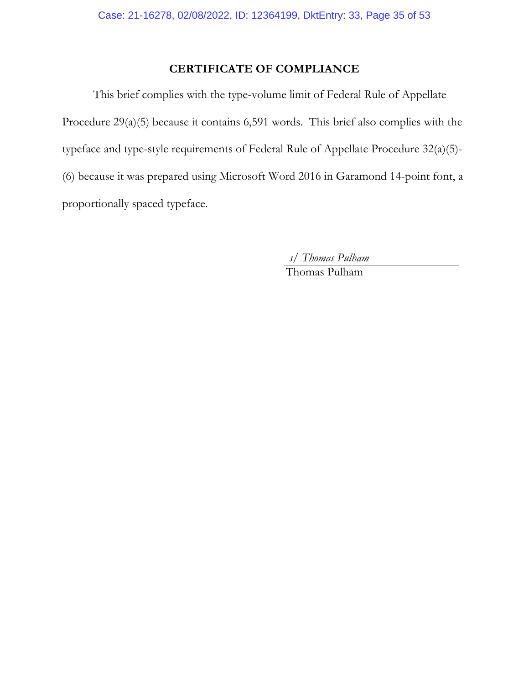## **CERTIFICATE OF COMPLIANCE**

This brief complies with the type-volume limit of Federal Rule of Appellate Procedure 29(a)(5) because it contains 6,591 words. This brief also complies with the typeface and type-style requirements of Federal Rule of Appellate Procedure 32(a)(5)- (6) because it was prepared using Microsoft Word 2016 in Garamond 14-point font, a proportionally spaced typeface.

*s/ Thomas Pulham* 

Thomas Pulham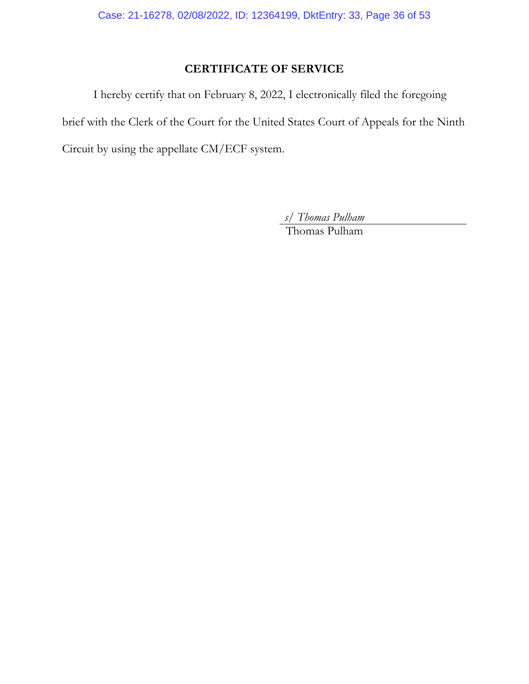# **CERTIFICATE OF SERVICE**

I hereby certify that on February 8, 2022, I electronically filed the foregoing brief with the Clerk of the Court for the United States Court of Appeals for the Ninth Circuit by using the appellate CM/ECF system.

*s/ Thomas Pulham* 

Thomas Pulham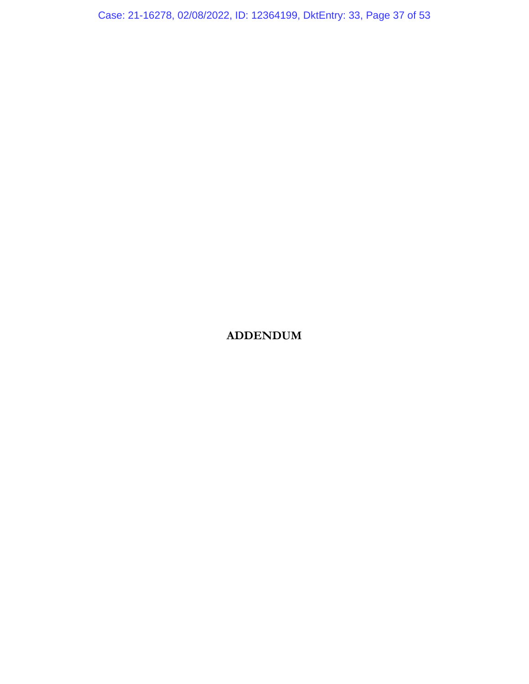Case: 21-16278, 02/08/2022, ID: 12364199, DktEntry: 33, Page 37 of 53

# **ADDENDUM**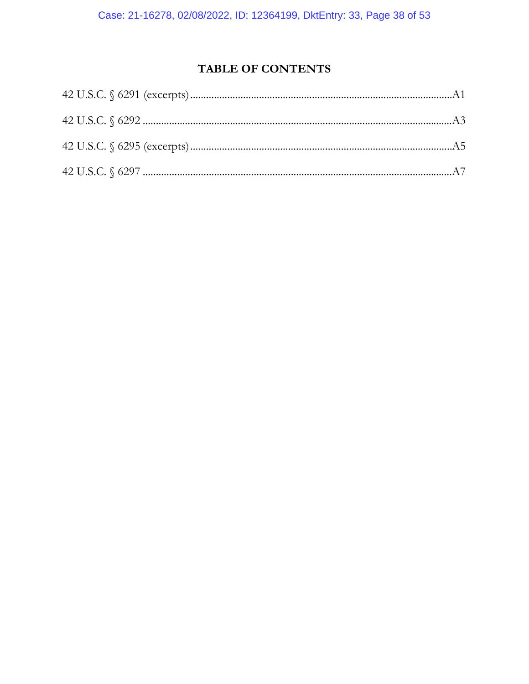# TABLE OF CONTENTS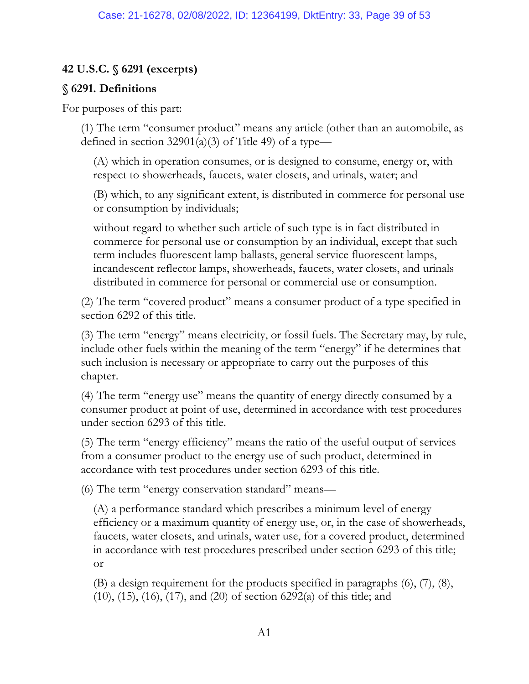## **42 U.S.C. § 6291 (excerpts)**

### **§ 6291. Definitions**

For purposes of this part:

(1) The term "consumer product" means any article (other than an automobile, as defined in section 32901(a)(3) of Title 49) of a type—

(A) which in operation consumes, or is designed to consume, energy or, with respect to showerheads, faucets, water closets, and urinals, water; and

(B) which, to any significant extent, is distributed in commerce for personal use or consumption by individuals;

without regard to whether such article of such type is in fact distributed in commerce for personal use or consumption by an individual, except that such term includes fluorescent lamp ballasts, general service fluorescent lamps, incandescent reflector lamps, showerheads, faucets, water closets, and urinals distributed in commerce for personal or commercial use or consumption.

(2) The term "covered product" means a consumer product of a type specified in section 6292 of this title.

(3) The term "energy" means electricity, or fossil fuels. The Secretary may, by rule, include other fuels within the meaning of the term "energy" if he determines that such inclusion is necessary or appropriate to carry out the purposes of this chapter.

(4) The term "energy use" means the quantity of energy directly consumed by a consumer product at point of use, determined in accordance with test procedures under section 6293 of this title.

(5) The term "energy efficiency" means the ratio of the useful output of services from a consumer product to the energy use of such product, determined in accordance with test procedures under section 6293 of this title.

(6) The term "energy conservation standard" means—

(A) a performance standard which prescribes a minimum level of energy efficiency or a maximum quantity of energy use, or, in the case of showerheads, faucets, water closets, and urinals, water use, for a covered product, determined in accordance with test procedures prescribed under section 6293 of this title; or

(B) a design requirement for the products specified in paragraphs (6), (7), (8), (10), (15), (16), (17), and (20) of section 6292(a) of this title; and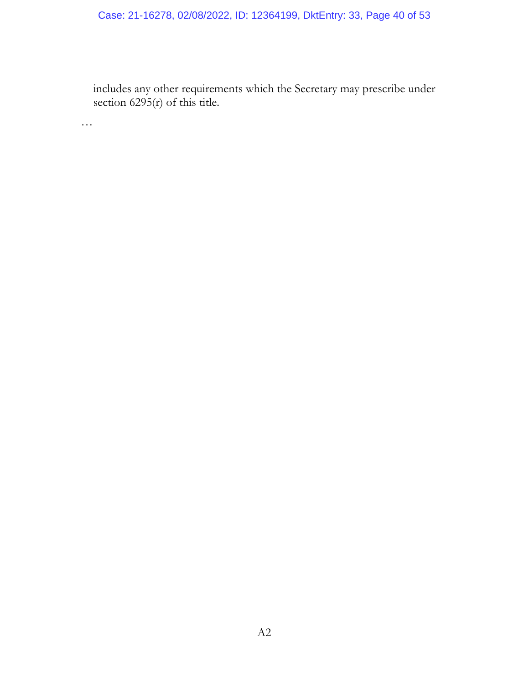# Case: 21-16278, 02/08/2022, ID: 12364199, DktEntry: 33, Page 40 of 53

includes any other requirements which the Secretary may prescribe under section  $6295(r)$  of this title.

…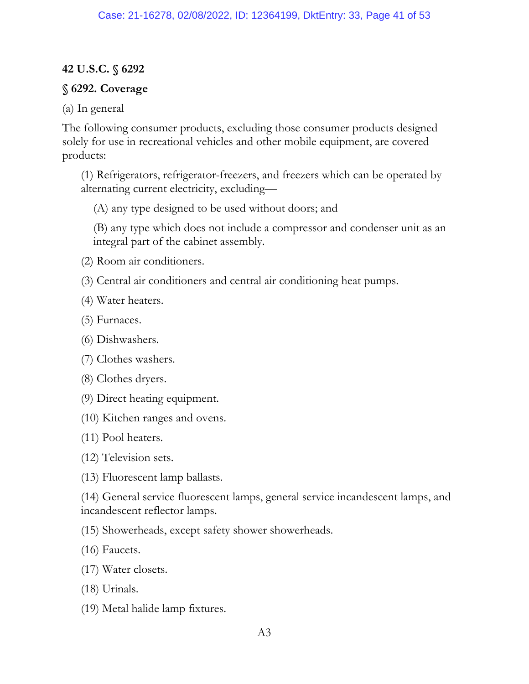### **42 U.S.C. § 6292**

### **§ 6292. Coverage**

### (a) In general

The following consumer products, excluding those consumer products designed solely for use in recreational vehicles and other mobile equipment, are covered products:

(1) Refrigerators, refrigerator-freezers, and freezers which can be operated by alternating current electricity, excluding—

(A) any type designed to be used without doors; and

(B) any type which does not include a compressor and condenser unit as an integral part of the cabinet assembly.

- (2) Room air conditioners.
- (3) Central air conditioners and central air conditioning heat pumps.
- (4) Water heaters.
- (5) Furnaces.
- (6) Dishwashers.
- (7) Clothes washers.
- (8) Clothes dryers.
- (9) Direct heating equipment.
- (10) Kitchen ranges and ovens.
- (11) Pool heaters.
- (12) Television sets.
- (13) Fluorescent lamp ballasts.

(14) General service fluorescent lamps, general service incandescent lamps, and incandescent reflector lamps.

(15) Showerheads, except safety shower showerheads.

- (16) Faucets.
- (17) Water closets.
- (18) Urinals.
- (19) Metal halide lamp fixtures.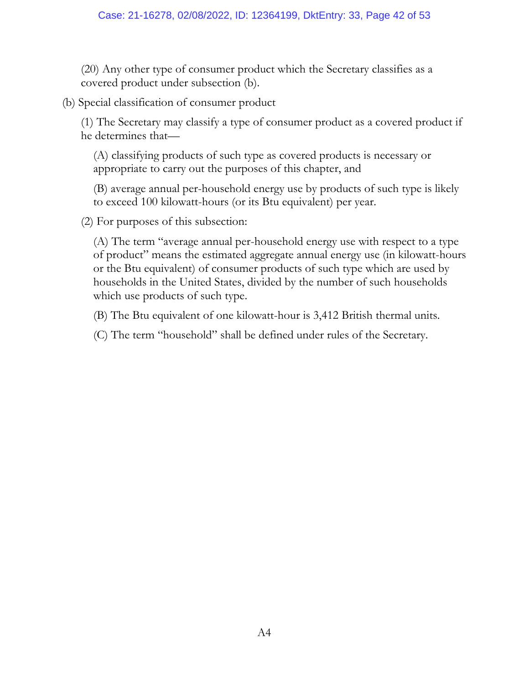(20) Any other type of consumer product which the Secretary classifies as a covered product under subsection (b).

(b) Special classification of consumer product

(1) The Secretary may classify a type of consumer product as a covered product if he determines that—

(A) classifying products of such type as covered products is necessary or appropriate to carry out the purposes of this chapter, and

(B) average annual per-household energy use by products of such type is likely to exceed 100 kilowatt-hours (or its Btu equivalent) per year.

(2) For purposes of this subsection:

(A) The term "average annual per-household energy use with respect to a type of product" means the estimated aggregate annual energy use (in kilowatt-hours or the Btu equivalent) of consumer products of such type which are used by households in the United States, divided by the number of such households which use products of such type.

(B) The Btu equivalent of one kilowatt-hour is 3,412 British thermal units.

(C) The term "household" shall be defined under rules of the Secretary.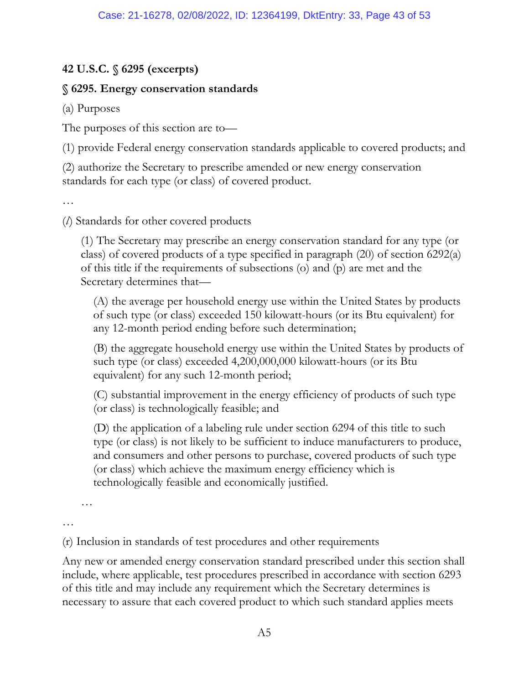# **42 U.S.C. § 6295 (excerpts)**

# **§ 6295. Energy conservation standards**

(a) Purposes

The purposes of this section are to—

(1) provide Federal energy conservation standards applicable to covered products; and

(2) authorize the Secretary to prescribe amended or new energy conservation standards for each type (or class) of covered product.

…

(*l*) Standards for other covered products

(1) The Secretary may prescribe an energy conservation standard for any type (or class) of covered products of a type specified in paragraph (20) of section 6292(a) of this title if the requirements of subsections (o) and (p) are met and the Secretary determines that—

(A) the average per household energy use within the United States by products of such type (or class) exceeded 150 kilowatt-hours (or its Btu equivalent) for any 12-month period ending before such determination;

(B) the aggregate household energy use within the United States by products of such type (or class) exceeded 4,200,000,000 kilowatt-hours (or its Btu equivalent) for any such 12-month period;

(C) substantial improvement in the energy efficiency of products of such type (or class) is technologically feasible; and

(D) the application of a labeling rule under section 6294 of this title to such type (or class) is not likely to be sufficient to induce manufacturers to produce, and consumers and other persons to purchase, covered products of such type (or class) which achieve the maximum energy efficiency which is technologically feasible and economically justified.

…

…

(r) Inclusion in standards of test procedures and other requirements

Any new or amended energy conservation standard prescribed under this section shall include, where applicable, test procedures prescribed in accordance with section 6293 of this title and may include any requirement which the Secretary determines is necessary to assure that each covered product to which such standard applies meets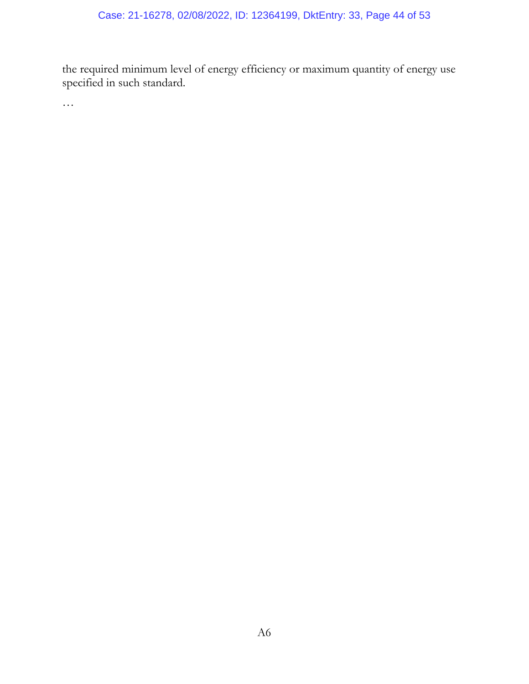the required minimum level of energy efficiency or maximum quantity of energy use specified in such standard.

…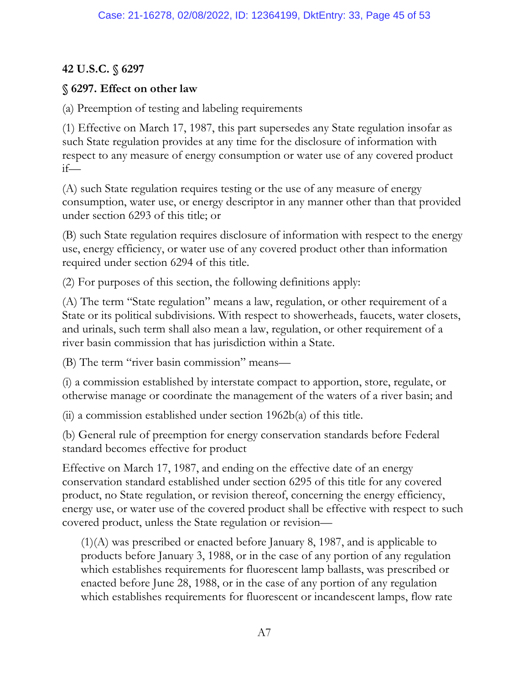# **42 U.S.C. § 6297**

# **§ 6297. Effect on other law**

(a) Preemption of testing and labeling requirements

(1) Effective on March 17, 1987, this part supersedes any State regulation insofar as such State regulation provides at any time for the disclosure of information with respect to any measure of energy consumption or water use of any covered product if—

(A) such State regulation requires testing or the use of any measure of energy consumption, water use, or energy descriptor in any manner other than that provided under section 6293 of this title; or

(B) such State regulation requires disclosure of information with respect to the energy use, energy efficiency, or water use of any covered product other than information required under section 6294 of this title.

(2) For purposes of this section, the following definitions apply:

(A) The term "State regulation" means a law, regulation, or other requirement of a State or its political subdivisions. With respect to showerheads, faucets, water closets, and urinals, such term shall also mean a law, regulation, or other requirement of a river basin commission that has jurisdiction within a State.

(B) The term "river basin commission" means—

(i) a commission established by interstate compact to apportion, store, regulate, or otherwise manage or coordinate the management of the waters of a river basin; and

(ii) a commission established under section 1962b(a) of this title.

(b) General rule of preemption for energy conservation standards before Federal standard becomes effective for product

Effective on March 17, 1987, and ending on the effective date of an energy conservation standard established under section 6295 of this title for any covered product, no State regulation, or revision thereof, concerning the energy efficiency, energy use, or water use of the covered product shall be effective with respect to such covered product, unless the State regulation or revision—

(1)(A) was prescribed or enacted before January 8, 1987, and is applicable to products before January 3, 1988, or in the case of any portion of any regulation which establishes requirements for fluorescent lamp ballasts, was prescribed or enacted before June 28, 1988, or in the case of any portion of any regulation which establishes requirements for fluorescent or incandescent lamps, flow rate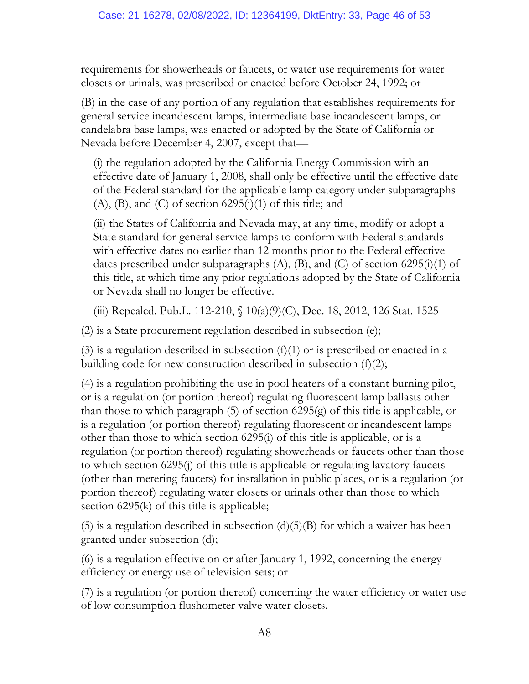requirements for showerheads or faucets, or water use requirements for water closets or urinals, was prescribed or enacted before October 24, 1992; or

(B) in the case of any portion of any regulation that establishes requirements for general service incandescent lamps, intermediate base incandescent lamps, or candelabra base lamps, was enacted or adopted by the State of California or Nevada before December 4, 2007, except that—

(i) the regulation adopted by the California Energy Commission with an effective date of January 1, 2008, shall only be effective until the effective date of the Federal standard for the applicable lamp category under subparagraphs  $(A)$ ,  $(B)$ , and  $(C)$  of section  $6295(i)(1)$  of this title; and

(ii) the States of California and Nevada may, at any time, modify or adopt a State standard for general service lamps to conform with Federal standards with effective dates no earlier than 12 months prior to the Federal effective dates prescribed under subparagraphs  $(A)$ ,  $(B)$ , and  $(C)$  of section 6295(i)(1) of this title, at which time any prior regulations adopted by the State of California or Nevada shall no longer be effective.

(iii) Repealed. Pub.L. 112-210, § 10(a)(9)(C), Dec. 18, 2012, 126 Stat. 1525

(2) is a State procurement regulation described in subsection (e);

(3) is a regulation described in subsection  $(f)(1)$  or is prescribed or enacted in a building code for new construction described in subsection (f)(2);

(4) is a regulation prohibiting the use in pool heaters of a constant burning pilot, or is a regulation (or portion thereof) regulating fluorescent lamp ballasts other than those to which paragraph (5) of section 6295(g) of this title is applicable, or is a regulation (or portion thereof) regulating fluorescent or incandescent lamps other than those to which section 6295(i) of this title is applicable, or is a regulation (or portion thereof) regulating showerheads or faucets other than those to which section 6295(j) of this title is applicable or regulating lavatory faucets (other than metering faucets) for installation in public places, or is a regulation (or portion thereof) regulating water closets or urinals other than those to which section 6295(k) of this title is applicable;

(5) is a regulation described in subsection  $(d)(5)(B)$  for which a waiver has been granted under subsection (d);

(6) is a regulation effective on or after January 1, 1992, concerning the energy efficiency or energy use of television sets; or

(7) is a regulation (or portion thereof) concerning the water efficiency or water use of low consumption flushometer valve water closets.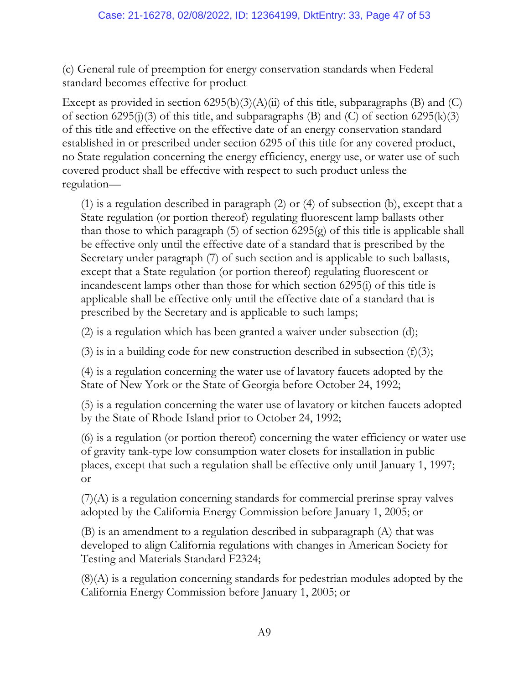### Case: 21-16278, 02/08/2022, ID: 12364199, DktEntry: 33, Page 47 of 53

(c) General rule of preemption for energy conservation standards when Federal standard becomes effective for product

Except as provided in section  $(6295(b)(3)(A)(ii)$  of this title, subparagraphs (B) and (C) of section 6295(j)(3) of this title, and subparagraphs (B) and (C) of section 6295(k)(3) of this title and effective on the effective date of an energy conservation standard established in or prescribed under section 6295 of this title for any covered product, no State regulation concerning the energy efficiency, energy use, or water use of such covered product shall be effective with respect to such product unless the regulation—

(1) is a regulation described in paragraph (2) or (4) of subsection (b), except that a State regulation (or portion thereof) regulating fluorescent lamp ballasts other than those to which paragraph (5) of section 6295(g) of this title is applicable shall be effective only until the effective date of a standard that is prescribed by the Secretary under paragraph (7) of such section and is applicable to such ballasts, except that a State regulation (or portion thereof) regulating fluorescent or incandescent lamps other than those for which section 6295(i) of this title is applicable shall be effective only until the effective date of a standard that is prescribed by the Secretary and is applicable to such lamps;

(2) is a regulation which has been granted a waiver under subsection (d);

(3) is in a building code for new construction described in subsection  $(f)(3)$ ;

(4) is a regulation concerning the water use of lavatory faucets adopted by the State of New York or the State of Georgia before October 24, 1992;

(5) is a regulation concerning the water use of lavatory or kitchen faucets adopted by the State of Rhode Island prior to October 24, 1992;

(6) is a regulation (or portion thereof) concerning the water efficiency or water use of gravity tank-type low consumption water closets for installation in public places, except that such a regulation shall be effective only until January 1, 1997; or

(7)(A) is a regulation concerning standards for commercial prerinse spray valves adopted by the California Energy Commission before January 1, 2005; or

(B) is an amendment to a regulation described in subparagraph (A) that was developed to align California regulations with changes in American Society for Testing and Materials Standard F2324;

(8)(A) is a regulation concerning standards for pedestrian modules adopted by the California Energy Commission before January 1, 2005; or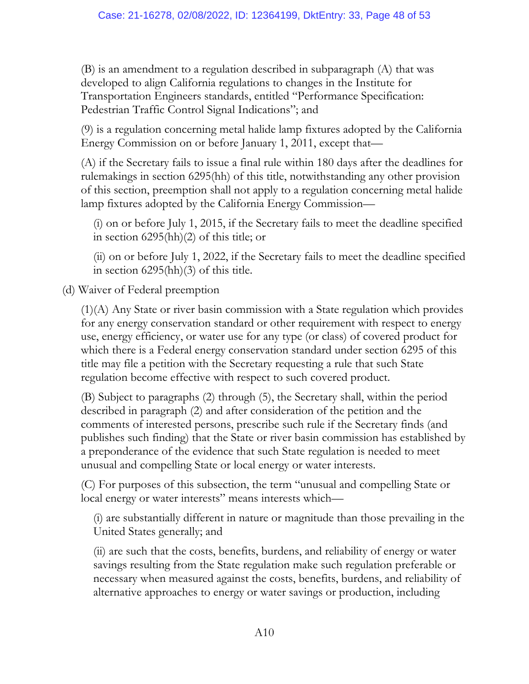(B) is an amendment to a regulation described in subparagraph (A) that was developed to align California regulations to changes in the Institute for Transportation Engineers standards, entitled "Performance Specification: Pedestrian Traffic Control Signal Indications"; and

(9) is a regulation concerning metal halide lamp fixtures adopted by the California Energy Commission on or before January 1, 2011, except that—

(A) if the Secretary fails to issue a final rule within 180 days after the deadlines for rulemakings in section 6295(hh) of this title, notwithstanding any other provision of this section, preemption shall not apply to a regulation concerning metal halide lamp fixtures adopted by the California Energy Commission—

(i) on or before July 1, 2015, if the Secretary fails to meet the deadline specified in section 6295(hh)(2) of this title; or

(ii) on or before July 1, 2022, if the Secretary fails to meet the deadline specified in section 6295(hh)(3) of this title.

(d) Waiver of Federal preemption

(1)(A) Any State or river basin commission with a State regulation which provides for any energy conservation standard or other requirement with respect to energy use, energy efficiency, or water use for any type (or class) of covered product for which there is a Federal energy conservation standard under section 6295 of this title may file a petition with the Secretary requesting a rule that such State regulation become effective with respect to such covered product.

(B) Subject to paragraphs (2) through (5), the Secretary shall, within the period described in paragraph (2) and after consideration of the petition and the comments of interested persons, prescribe such rule if the Secretary finds (and publishes such finding) that the State or river basin commission has established by a preponderance of the evidence that such State regulation is needed to meet unusual and compelling State or local energy or water interests.

(C) For purposes of this subsection, the term "unusual and compelling State or local energy or water interests" means interests which—

(i) are substantially different in nature or magnitude than those prevailing in the United States generally; and

(ii) are such that the costs, benefits, burdens, and reliability of energy or water savings resulting from the State regulation make such regulation preferable or necessary when measured against the costs, benefits, burdens, and reliability of alternative approaches to energy or water savings or production, including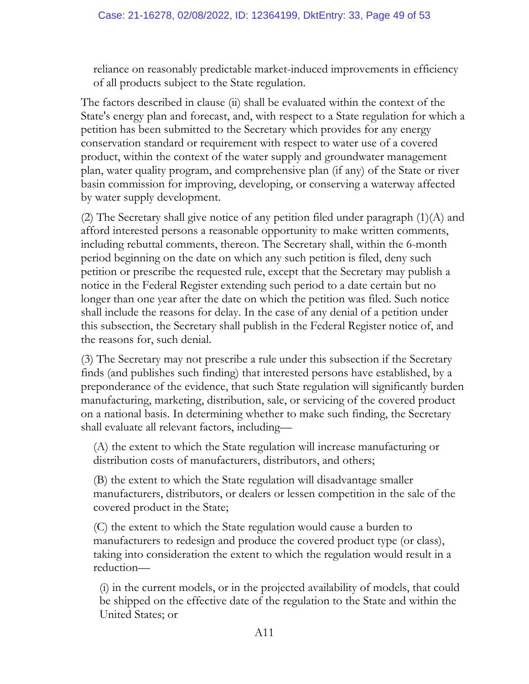reliance on reasonably predictable market-induced improvements in efficiency of all products subject to the State regulation.

The factors described in clause (ii) shall be evaluated within the context of the State's energy plan and forecast, and, with respect to a State regulation for which a petition has been submitted to the Secretary which provides for any energy conservation standard or requirement with respect to water use of a covered product, within the context of the water supply and groundwater management plan, water quality program, and comprehensive plan (if any) of the State or river basin commission for improving, developing, or conserving a waterway affected by water supply development.

(2) The Secretary shall give notice of any petition filed under paragraph (1)(A) and afford interested persons a reasonable opportunity to make written comments, including rebuttal comments, thereon. The Secretary shall, within the 6-month period beginning on the date on which any such petition is filed, deny such petition or prescribe the requested rule, except that the Secretary may publish a notice in the Federal Register extending such period to a date certain but no longer than one year after the date on which the petition was filed. Such notice shall include the reasons for delay. In the case of any denial of a petition under this subsection, the Secretary shall publish in the Federal Register notice of, and the reasons for, such denial.

(3) The Secretary may not prescribe a rule under this subsection if the Secretary finds (and publishes such finding) that interested persons have established, by a preponderance of the evidence, that such State regulation will significantly burden manufacturing, marketing, distribution, sale, or servicing of the covered product on a national basis. In determining whether to make such finding, the Secretary shall evaluate all relevant factors, including—

(A) the extent to which the State regulation will increase manufacturing or distribution costs of manufacturers, distributors, and others;

(B) the extent to which the State regulation will disadvantage smaller manufacturers, distributors, or dealers or lessen competition in the sale of the covered product in the State;

(C) the extent to which the State regulation would cause a burden to manufacturers to redesign and produce the covered product type (or class), taking into consideration the extent to which the regulation would result in a reduction—

(i) in the current models, or in the projected availability of models, that could be shipped on the effective date of the regulation to the State and within the United States; or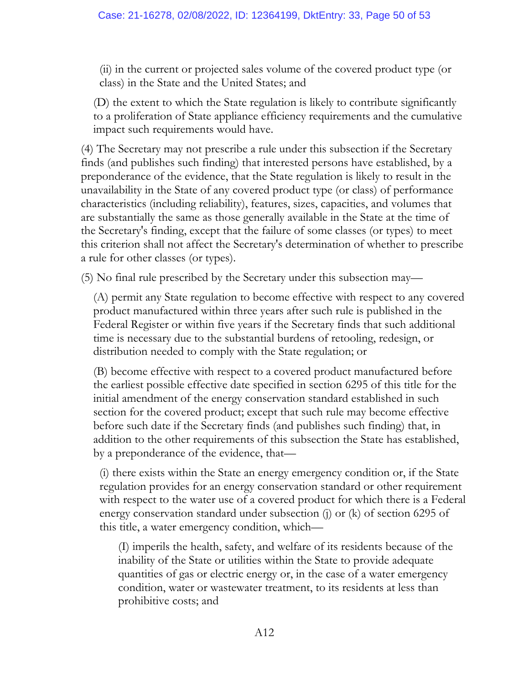(ii) in the current or projected sales volume of the covered product type (or class) in the State and the United States; and

(D) the extent to which the State regulation is likely to contribute significantly to a proliferation of State appliance efficiency requirements and the cumulative impact such requirements would have.

(4) The Secretary may not prescribe a rule under this subsection if the Secretary finds (and publishes such finding) that interested persons have established, by a preponderance of the evidence, that the State regulation is likely to result in the unavailability in the State of any covered product type (or class) of performance characteristics (including reliability), features, sizes, capacities, and volumes that are substantially the same as those generally available in the State at the time of the Secretary's finding, except that the failure of some classes (or types) to meet this criterion shall not affect the Secretary's determination of whether to prescribe a rule for other classes (or types).

(5) No final rule prescribed by the Secretary under this subsection may—

(A) permit any State regulation to become effective with respect to any covered product manufactured within three years after such rule is published in the Federal Register or within five years if the Secretary finds that such additional time is necessary due to the substantial burdens of retooling, redesign, or distribution needed to comply with the State regulation; or

(B) become effective with respect to a covered product manufactured before the earliest possible effective date specified in section 6295 of this title for the initial amendment of the energy conservation standard established in such section for the covered product; except that such rule may become effective before such date if the Secretary finds (and publishes such finding) that, in addition to the other requirements of this subsection the State has established, by a preponderance of the evidence, that—

(i) there exists within the State an energy emergency condition or, if the State regulation provides for an energy conservation standard or other requirement with respect to the water use of a covered product for which there is a Federal energy conservation standard under subsection (j) or (k) of section 6295 of this title, a water emergency condition, which—

(I) imperils the health, safety, and welfare of its residents because of the inability of the State or utilities within the State to provide adequate quantities of gas or electric energy or, in the case of a water emergency condition, water or wastewater treatment, to its residents at less than prohibitive costs; and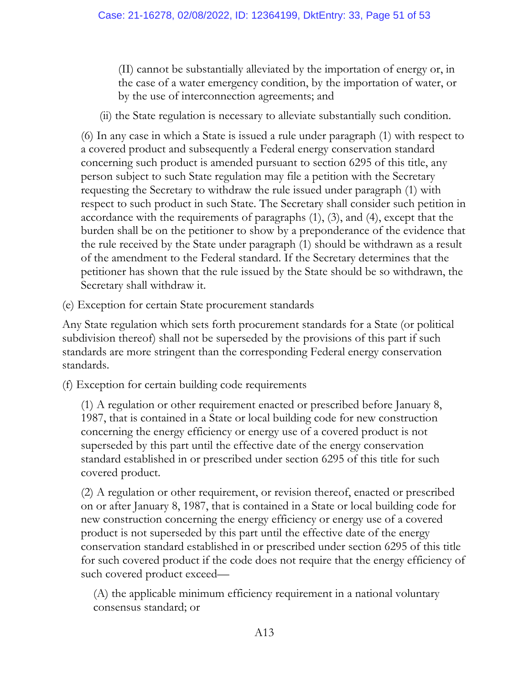(II) cannot be substantially alleviated by the importation of energy or, in the case of a water emergency condition, by the importation of water, or by the use of interconnection agreements; and

(ii) the State regulation is necessary to alleviate substantially such condition.

(6) In any case in which a State is issued a rule under paragraph (1) with respect to a covered product and subsequently a Federal energy conservation standard concerning such product is amended pursuant to section 6295 of this title, any person subject to such State regulation may file a petition with the Secretary requesting the Secretary to withdraw the rule issued under paragraph (1) with respect to such product in such State. The Secretary shall consider such petition in accordance with the requirements of paragraphs (1), (3), and (4), except that the burden shall be on the petitioner to show by a preponderance of the evidence that the rule received by the State under paragraph (1) should be withdrawn as a result of the amendment to the Federal standard. If the Secretary determines that the petitioner has shown that the rule issued by the State should be so withdrawn, the Secretary shall withdraw it.

(e) Exception for certain State procurement standards

Any State regulation which sets forth procurement standards for a State (or political subdivision thereof) shall not be superseded by the provisions of this part if such standards are more stringent than the corresponding Federal energy conservation standards.

(f) Exception for certain building code requirements

(1) A regulation or other requirement enacted or prescribed before January 8, 1987, that is contained in a State or local building code for new construction concerning the energy efficiency or energy use of a covered product is not superseded by this part until the effective date of the energy conservation standard established in or prescribed under section 6295 of this title for such covered product.

(2) A regulation or other requirement, or revision thereof, enacted or prescribed on or after January 8, 1987, that is contained in a State or local building code for new construction concerning the energy efficiency or energy use of a covered product is not superseded by this part until the effective date of the energy conservation standard established in or prescribed under section 6295 of this title for such covered product if the code does not require that the energy efficiency of such covered product exceed—

(A) the applicable minimum efficiency requirement in a national voluntary consensus standard; or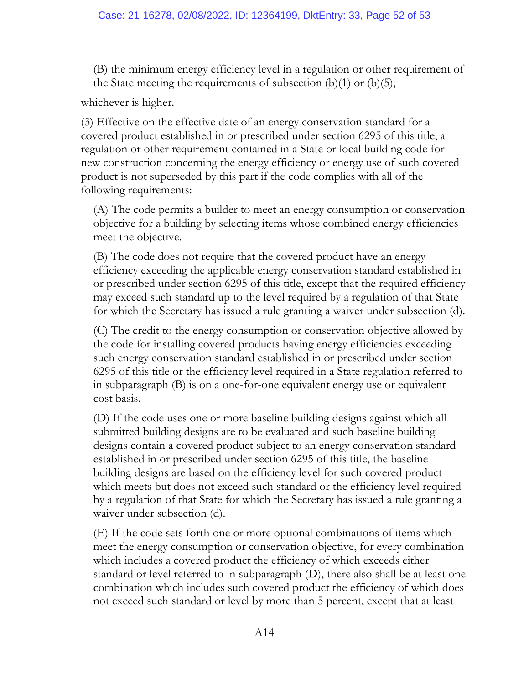(B) the minimum energy efficiency level in a regulation or other requirement of the State meeting the requirements of subsection  $(b)(1)$  or  $(b)(5)$ ,

whichever is higher.

(3) Effective on the effective date of an energy conservation standard for a covered product established in or prescribed under section 6295 of this title, a regulation or other requirement contained in a State or local building code for new construction concerning the energy efficiency or energy use of such covered product is not superseded by this part if the code complies with all of the following requirements:

(A) The code permits a builder to meet an energy consumption or conservation objective for a building by selecting items whose combined energy efficiencies meet the objective.

(B) The code does not require that the covered product have an energy efficiency exceeding the applicable energy conservation standard established in or prescribed under section 6295 of this title, except that the required efficiency may exceed such standard up to the level required by a regulation of that State for which the Secretary has issued a rule granting a waiver under subsection (d).

(C) The credit to the energy consumption or conservation objective allowed by the code for installing covered products having energy efficiencies exceeding such energy conservation standard established in or prescribed under section 6295 of this title or the efficiency level required in a State regulation referred to in subparagraph (B) is on a one-for-one equivalent energy use or equivalent cost basis.

(D) If the code uses one or more baseline building designs against which all submitted building designs are to be evaluated and such baseline building designs contain a covered product subject to an energy conservation standard established in or prescribed under section 6295 of this title, the baseline building designs are based on the efficiency level for such covered product which meets but does not exceed such standard or the efficiency level required by a regulation of that State for which the Secretary has issued a rule granting a waiver under subsection (d).

(E) If the code sets forth one or more optional combinations of items which meet the energy consumption or conservation objective, for every combination which includes a covered product the efficiency of which exceeds either standard or level referred to in subparagraph (D), there also shall be at least one combination which includes such covered product the efficiency of which does not exceed such standard or level by more than 5 percent, except that at least